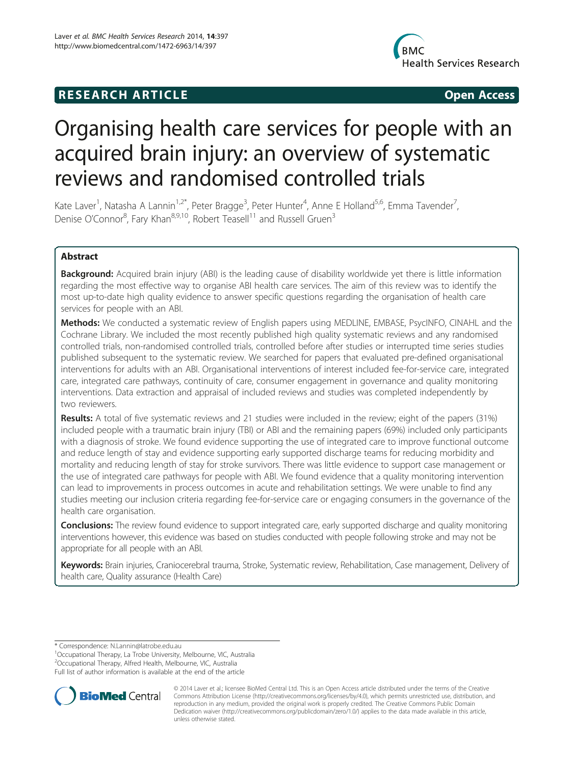## **RESEARCH ARTICLE Example 2014 12:30 The SEAR CHA RESEARCH ARTICLE**



# Organising health care services for people with an acquired brain injury: an overview of systematic reviews and randomised controlled trials

Kate Laver<sup>1</sup>, Natasha A Lannin<sup>1,2\*</sup>, Peter Bragge<sup>3</sup>, Peter Hunter<sup>4</sup>, Anne E Holland<sup>5,6</sup>, Emma Tavender<sup>7</sup> , Denise O'Connor<sup>8</sup>, Fary Khan<sup>8,9,10</sup>, Robert Teasell<sup>11</sup> and Russell Gruen<sup>3</sup>

## Abstract

Background: Acquired brain injury (ABI) is the leading cause of disability worldwide yet there is little information regarding the most effective way to organise ABI health care services. The aim of this review was to identify the most up-to-date high quality evidence to answer specific questions regarding the organisation of health care services for people with an ABI.

Methods: We conducted a systematic review of English papers using MEDLINE, EMBASE, PsycINFO, CINAHL and the Cochrane Library. We included the most recently published high quality systematic reviews and any randomised controlled trials, non-randomised controlled trials, controlled before after studies or interrupted time series studies published subsequent to the systematic review. We searched for papers that evaluated pre-defined organisational interventions for adults with an ABI. Organisational interventions of interest included fee-for-service care, integrated care, integrated care pathways, continuity of care, consumer engagement in governance and quality monitoring interventions. Data extraction and appraisal of included reviews and studies was completed independently by two reviewers.

Results: A total of five systematic reviews and 21 studies were included in the review; eight of the papers (31%) included people with a traumatic brain injury (TBI) or ABI and the remaining papers (69%) included only participants with a diagnosis of stroke. We found evidence supporting the use of integrated care to improve functional outcome and reduce length of stay and evidence supporting early supported discharge teams for reducing morbidity and mortality and reducing length of stay for stroke survivors. There was little evidence to support case management or the use of integrated care pathways for people with ABI. We found evidence that a quality monitoring intervention can lead to improvements in process outcomes in acute and rehabilitation settings. We were unable to find any studies meeting our inclusion criteria regarding fee-for-service care or engaging consumers in the governance of the health care organisation.

**Conclusions:** The review found evidence to support integrated care, early supported discharge and quality monitoring interventions however, this evidence was based on studies conducted with people following stroke and may not be appropriate for all people with an ABI.

Keywords: Brain injuries, Craniocerebral trauma, Stroke, Systematic review, Rehabilitation, Case management, Delivery of health care, Quality assurance (Health Care)

\* Correspondence: [N.Lannin@latrobe.edu.au](mailto:N.Lannin@latrobe.edu.au) <sup>1</sup>

<sup>1</sup>Occupational Therapy, La Trobe University, Melbourne, VIC, Australia

2 Occupational Therapy, Alfred Health, Melbourne, VIC, Australia

Full list of author information is available at the end of the article



<sup>© 2014</sup> Laver et al.; licensee BioMed Central Ltd. This is an Open Access article distributed under the terms of the Creative Commons Attribution License [\(http://creativecommons.org/licenses/by/4.0\)](http://creativecommons.org/licenses/by/4.0), which permits unrestricted use, distribution, and reproduction in any medium, provided the original work is properly credited. The Creative Commons Public Domain Dedication waiver [\(http://creativecommons.org/publicdomain/zero/1.0/](http://creativecommons.org/publicdomain/zero/1.0/)) applies to the data made available in this article, unless otherwise stated.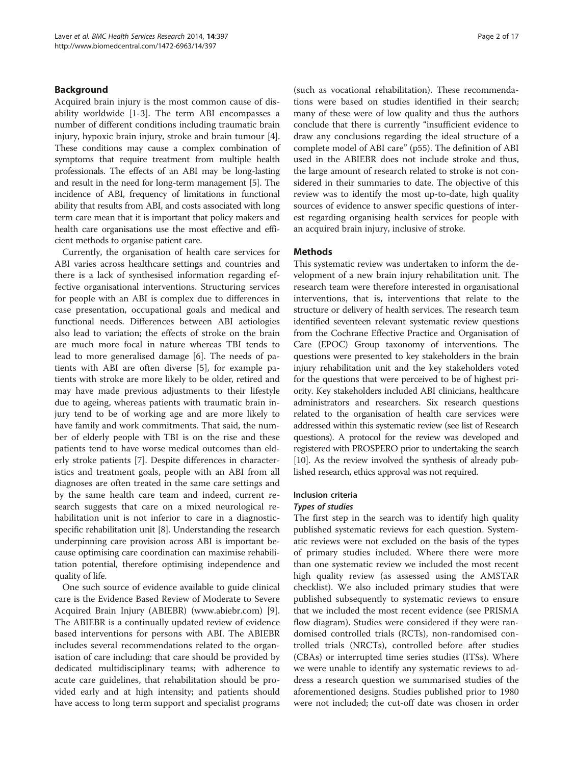## Background

Acquired brain injury is the most common cause of disability worldwide [\[1](#page-15-0)-[3\]](#page-15-0). The term ABI encompasses a number of different conditions including traumatic brain injury, hypoxic brain injury, stroke and brain tumour [[4](#page-15-0)]. These conditions may cause a complex combination of symptoms that require treatment from multiple health professionals. The effects of an ABI may be long-lasting and result in the need for long-term management [[5\]](#page-15-0). The incidence of ABI, frequency of limitations in functional ability that results from ABI, and costs associated with long term care mean that it is important that policy makers and health care organisations use the most effective and efficient methods to organise patient care.

Currently, the organisation of health care services for ABI varies across healthcare settings and countries and there is a lack of synthesised information regarding effective organisational interventions. Structuring services for people with an ABI is complex due to differences in case presentation, occupational goals and medical and functional needs. Differences between ABI aetiologies also lead to variation; the effects of stroke on the brain are much more focal in nature whereas TBI tends to lead to more generalised damage [\[6](#page-15-0)]. The needs of patients with ABI are often diverse [\[5](#page-15-0)], for example patients with stroke are more likely to be older, retired and may have made previous adjustments to their lifestyle due to ageing, whereas patients with traumatic brain injury tend to be of working age and are more likely to have family and work commitments. That said, the number of elderly people with TBI is on the rise and these patients tend to have worse medical outcomes than elderly stroke patients [[7\]](#page-15-0). Despite differences in characteristics and treatment goals, people with an ABI from all diagnoses are often treated in the same care settings and by the same health care team and indeed, current research suggests that care on a mixed neurological rehabilitation unit is not inferior to care in a diagnosticspecific rehabilitation unit [[8\]](#page-15-0). Understanding the research underpinning care provision across ABI is important because optimising care coordination can maximise rehabilitation potential, therefore optimising independence and quality of life.

One such source of evidence available to guide clinical care is the Evidence Based Review of Moderate to Severe Acquired Brain Injury (ABIEBR) ([www.abiebr.com](http://www.abiebr.com)) [\[9](#page-15-0)]. The ABIEBR is a continually updated review of evidence based interventions for persons with ABI. The ABIEBR includes several recommendations related to the organisation of care including: that care should be provided by dedicated multidisciplinary teams; with adherence to acute care guidelines, that rehabilitation should be provided early and at high intensity; and patients should have access to long term support and specialist programs (such as vocational rehabilitation). These recommendations were based on studies identified in their search; many of these were of low quality and thus the authors conclude that there is currently "insufficient evidence to draw any conclusions regarding the ideal structure of a complete model of ABI care" (p55). The definition of ABI used in the ABIEBR does not include stroke and thus, the large amount of research related to stroke is not considered in their summaries to date. The objective of this review was to identify the most up-to-date, high quality sources of evidence to answer specific questions of interest regarding organising health services for people with an acquired brain injury, inclusive of stroke.

#### Methods

This systematic review was undertaken to inform the development of a new brain injury rehabilitation unit. The research team were therefore interested in organisational interventions, that is, interventions that relate to the structure or delivery of health services. The research team identified seventeen relevant systematic review questions from the Cochrane Effective Practice and Organisation of Care (EPOC) Group taxonomy of interventions. The questions were presented to key stakeholders in the brain injury rehabilitation unit and the key stakeholders voted for the questions that were perceived to be of highest priority. Key stakeholders included ABI clinicians, healthcare administrators and researchers. Six research questions related to the organisation of health care services were addressed within this systematic review (see list of [Research](#page-2-0) [questions\)](#page-2-0). A protocol for the review was developed and registered with PROSPERO prior to undertaking the search [[10](#page-15-0)]. As the review involved the synthesis of already published research, ethics approval was not required.

## Inclusion criteria

#### Types of studies

The first step in the search was to identify high quality published systematic reviews for each question. Systematic reviews were not excluded on the basis of the types of primary studies included. Where there were more than one systematic review we included the most recent high quality review (as assessed using the AMSTAR checklist). We also included primary studies that were published subsequently to systematic reviews to ensure that we included the most recent evidence (see PRISMA flow diagram). Studies were considered if they were randomised controlled trials (RCTs), non-randomised controlled trials (NRCTs), controlled before after studies (CBAs) or interrupted time series studies (ITSs). Where we were unable to identify any systematic reviews to address a research question we summarised studies of the aforementioned designs. Studies published prior to 1980 were not included; the cut-off date was chosen in order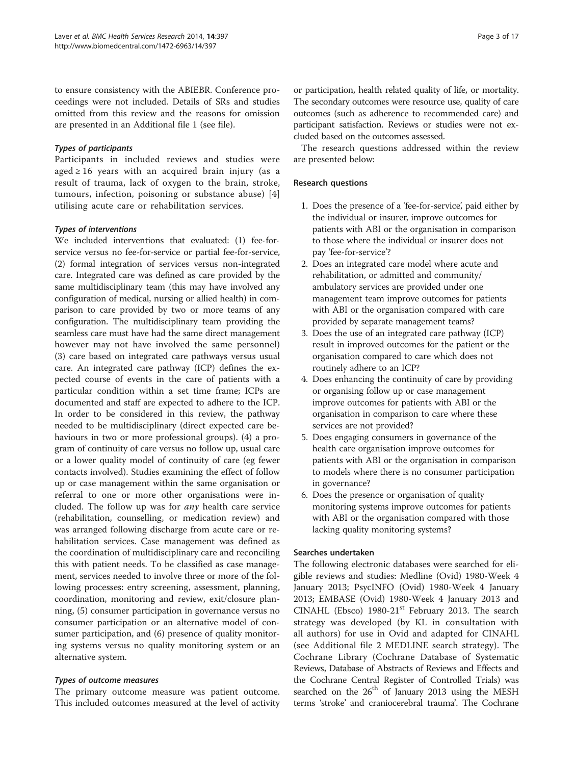<span id="page-2-0"></span>to ensure consistency with the ABIEBR. Conference proceedings were not included. Details of SRs and studies omitted from this review and the reasons for omission are presented in an Additional file [1](#page-14-0) (see file).

## Types of participants

Participants in included reviews and studies were aged  $\geq 16$  years with an acquired brain injury (as a result of trauma, lack of oxygen to the brain, stroke, tumours, infection, poisoning or substance abuse) [\[4](#page-15-0)] utilising acute care or rehabilitation services.

## Types of interventions

We included interventions that evaluated: (1) fee-forservice versus no fee-for-service or partial fee-for-service, (2) formal integration of services versus non-integrated care. Integrated care was defined as care provided by the same multidisciplinary team (this may have involved any configuration of medical, nursing or allied health) in comparison to care provided by two or more teams of any configuration. The multidisciplinary team providing the seamless care must have had the same direct management however may not have involved the same personnel) (3) care based on integrated care pathways versus usual care. An integrated care pathway (ICP) defines the expected course of events in the care of patients with a particular condition within a set time frame; ICPs are documented and staff are expected to adhere to the ICP. In order to be considered in this review, the pathway needed to be multidisciplinary (direct expected care behaviours in two or more professional groups). (4) a program of continuity of care versus no follow up, usual care or a lower quality model of continuity of care (eg fewer contacts involved). Studies examining the effect of follow up or case management within the same organisation or referral to one or more other organisations were included. The follow up was for any health care service (rehabilitation, counselling, or medication review) and was arranged following discharge from acute care or rehabilitation services. Case management was defined as the coordination of multidisciplinary care and reconciling this with patient needs. To be classified as case management, services needed to involve three or more of the following processes: entry screening, assessment, planning, coordination, monitoring and review, exit/closure planning, (5) consumer participation in governance versus no consumer participation or an alternative model of consumer participation, and (6) presence of quality monitoring systems versus no quality monitoring system or an alternative system.

## Types of outcome measures

The primary outcome measure was patient outcome. This included outcomes measured at the level of activity

or participation, health related quality of life, or mortality. The secondary outcomes were resource use, quality of care outcomes (such as adherence to recommended care) and participant satisfaction. Reviews or studies were not excluded based on the outcomes assessed.

The research questions addressed within the review are presented below:

## Research questions

- 1. Does the presence of a 'fee-for-service', paid either by the individual or insurer, improve outcomes for patients with ABI or the organisation in comparison to those where the individual or insurer does not pay 'fee-for-service'?
- 2. Does an integrated care model where acute and rehabilitation, or admitted and community/ ambulatory services are provided under one management team improve outcomes for patients with ABI or the organisation compared with care provided by separate management teams?
- 3. Does the use of an integrated care pathway (ICP) result in improved outcomes for the patient or the organisation compared to care which does not routinely adhere to an ICP?
- 4. Does enhancing the continuity of care by providing or organising follow up or case management improve outcomes for patients with ABI or the organisation in comparison to care where these services are not provided?
- 5. Does engaging consumers in governance of the health care organisation improve outcomes for patients with ABI or the organisation in comparison to models where there is no consumer participation in governance?
- 6. Does the presence or organisation of quality monitoring systems improve outcomes for patients with ABI or the organisation compared with those lacking quality monitoring systems?

## Searches undertaken

The following electronic databases were searched for eligible reviews and studies: Medline (Ovid) 1980-Week 4 January 2013; PsycINFO (Ovid) 1980-Week 4 January 2013; EMBASE (Ovid) 1980-Week 4 January 2013 and CINAHL (Ebsco)  $1980-21$ <sup>st</sup> February 2013. The search strategy was developed (by KL in consultation with all authors) for use in Ovid and adapted for CINAHL (see Additional file [2](#page-14-0) MEDLINE search strategy). The Cochrane Library (Cochrane Database of Systematic Reviews, Database of Abstracts of Reviews and Effects and the Cochrane Central Register of Controlled Trials) was searched on the 26<sup>th</sup> of January 2013 using the MESH terms 'stroke' and craniocerebral trauma'. The Cochrane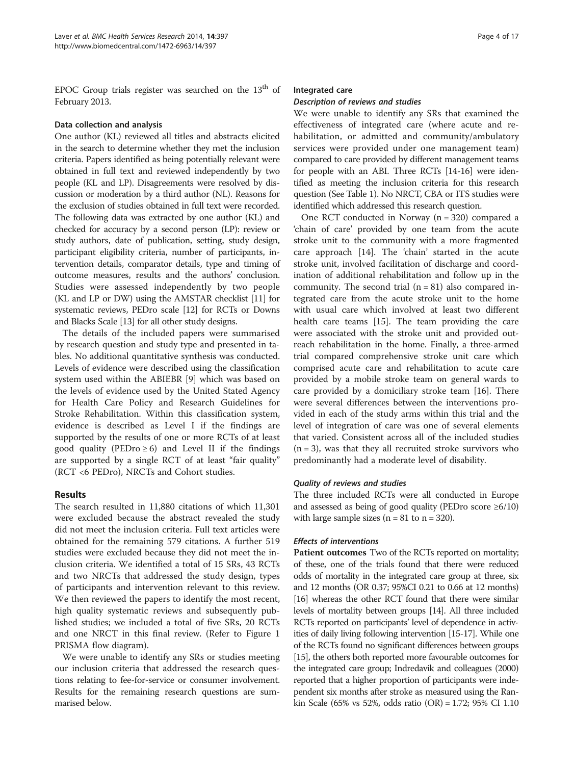EPOC Group trials register was searched on the  $13<sup>th</sup>$  of February 2013.

## Data collection and analysis

One author (KL) reviewed all titles and abstracts elicited in the search to determine whether they met the inclusion criteria. Papers identified as being potentially relevant were obtained in full text and reviewed independently by two people (KL and LP). Disagreements were resolved by discussion or moderation by a third author (NL). Reasons for the exclusion of studies obtained in full text were recorded. The following data was extracted by one author (KL) and checked for accuracy by a second person (LP): review or study authors, date of publication, setting, study design, participant eligibility criteria, number of participants, intervention details, comparator details, type and timing of outcome measures, results and the authors' conclusion. Studies were assessed independently by two people (KL and LP or DW) using the AMSTAR checklist [[11](#page-15-0)] for systematic reviews, PEDro scale [[12](#page-15-0)] for RCTs or Downs and Blacks Scale [\[13\]](#page-15-0) for all other study designs.

The details of the included papers were summarised by research question and study type and presented in tables. No additional quantitative synthesis was conducted. Levels of evidence were described using the classification system used within the ABIEBR [[9\]](#page-15-0) which was based on the levels of evidence used by the United Stated Agency for Health Care Policy and Research Guidelines for Stroke Rehabilitation. Within this classification system, evidence is described as Level I if the findings are supported by the results of one or more RCTs of at least good quality (PEDro  $\geq 6$ ) and Level II if the findings are supported by a single RCT of at least "fair quality" (RCT <6 PEDro), NRCTs and Cohort studies.

## Results

The search resulted in 11,880 citations of which 11,301 were excluded because the abstract revealed the study did not meet the inclusion criteria. Full text articles were obtained for the remaining 579 citations. A further 519 studies were excluded because they did not meet the inclusion criteria. We identified a total of 15 SRs, 43 RCTs and two NRCTs that addressed the study design, types of participants and intervention relevant to this review. We then reviewed the papers to identify the most recent, high quality systematic reviews and subsequently published studies; we included a total of five SRs, 20 RCTs and one NRCT in this final review. (Refer to Figure [1](#page-4-0) PRISMA flow diagram).

We were unable to identify any SRs or studies meeting our inclusion criteria that addressed the research questions relating to fee-for-service or consumer involvement. Results for the remaining research questions are summarised below.

#### Integrated care

#### Description of reviews and studies

We were unable to identify any SRs that examined the effectiveness of integrated care (where acute and rehabilitation, or admitted and community/ambulatory services were provided under one management team) compared to care provided by different management teams for people with an ABI. Three RCTs [\[14-16\]](#page-15-0) were identified as meeting the inclusion criteria for this research question (See Table [1](#page-5-0)). No NRCT, CBA or ITS studies were identified which addressed this research question.

One RCT conducted in Norway (n = 320) compared a 'chain of care' provided by one team from the acute stroke unit to the community with a more fragmented care approach [[14\]](#page-15-0). The 'chain' started in the acute stroke unit, involved facilitation of discharge and coordination of additional rehabilitation and follow up in the community. The second trial  $(n = 81)$  also compared integrated care from the acute stroke unit to the home with usual care which involved at least two different health care teams [[15](#page-15-0)]. The team providing the care were associated with the stroke unit and provided outreach rehabilitation in the home. Finally, a three-armed trial compared comprehensive stroke unit care which comprised acute care and rehabilitation to acute care provided by a mobile stroke team on general wards to care provided by a domiciliary stroke team [[16\]](#page-15-0). There were several differences between the interventions provided in each of the study arms within this trial and the level of integration of care was one of several elements that varied. Consistent across all of the included studies  $(n = 3)$ , was that they all recruited stroke survivors who predominantly had a moderate level of disability.

## Quality of reviews and studies

The three included RCTs were all conducted in Europe and assessed as being of good quality (PEDro score  $\geq 6/10$ ) with large sample sizes ( $n = 81$  to  $n = 320$ ).

## Effects of interventions

Patient outcomes Two of the RCTs reported on mortality; of these, one of the trials found that there were reduced odds of mortality in the integrated care group at three, six and 12 months (OR 0.37; 95%CI 0.21 to 0.66 at 12 months) [[16\]](#page-15-0) whereas the other RCT found that there were similar levels of mortality between groups [\[14\]](#page-15-0). All three included RCTs reported on participants' level of dependence in activities of daily living following intervention [\[15-17](#page-15-0)]. While one of the RCTs found no significant differences between groups [[15](#page-15-0)], the others both reported more favourable outcomes for the integrated care group; Indredavik and colleagues (2000) reported that a higher proportion of participants were independent six months after stroke as measured using the Rankin Scale (65% vs 52%, odds ratio (OR) = 1.72; 95% CI 1.10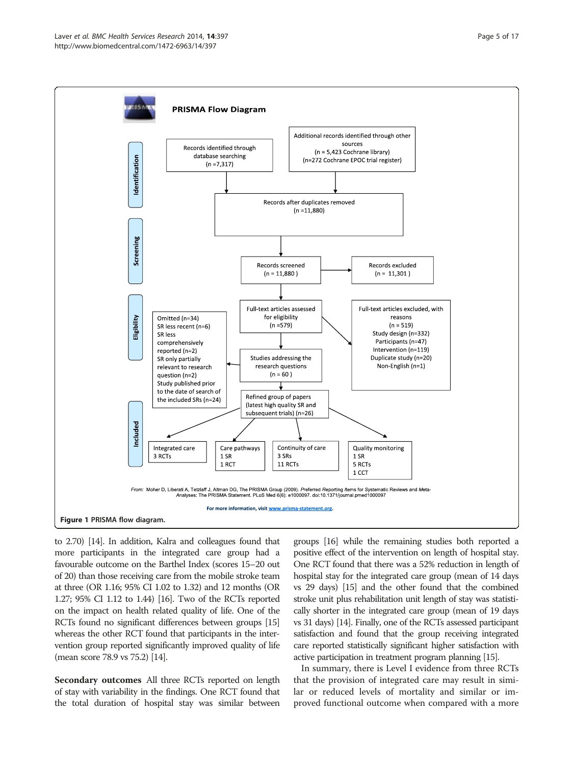<span id="page-4-0"></span>

to 2.70) [\[14\]](#page-15-0). In addition, Kalra and colleagues found that more participants in the integrated care group had a favourable outcome on the Barthel Index (scores 15–20 out of 20) than those receiving care from the mobile stroke team at three (OR 1.16; 95% CI 1.02 to 1.32) and 12 months (OR 1.27; 95% CI 1.12 to 1.44) [[16](#page-15-0)]. Two of the RCTs reported on the impact on health related quality of life. One of the RCTs found no significant differences between groups [\[15](#page-15-0)] whereas the other RCT found that participants in the intervention group reported significantly improved quality of life (mean score 78.9 vs 75.2) [[14](#page-15-0)].

Secondary outcomes All three RCTs reported on length of stay with variability in the findings. One RCT found that the total duration of hospital stay was similar between groups [\[16](#page-15-0)] while the remaining studies both reported a positive effect of the intervention on length of hospital stay. One RCT found that there was a 52% reduction in length of hospital stay for the integrated care group (mean of 14 days vs 29 days) [\[15\]](#page-15-0) and the other found that the combined stroke unit plus rehabilitation unit length of stay was statistically shorter in the integrated care group (mean of 19 days vs 31 days) [\[14](#page-15-0)]. Finally, one of the RCTs assessed participant satisfaction and found that the group receiving integrated care reported statistically significant higher satisfaction with active participation in treatment program planning [\[15\]](#page-15-0).

In summary, there is Level I evidence from three RCTs that the provision of integrated care may result in similar or reduced levels of mortality and similar or improved functional outcome when compared with a more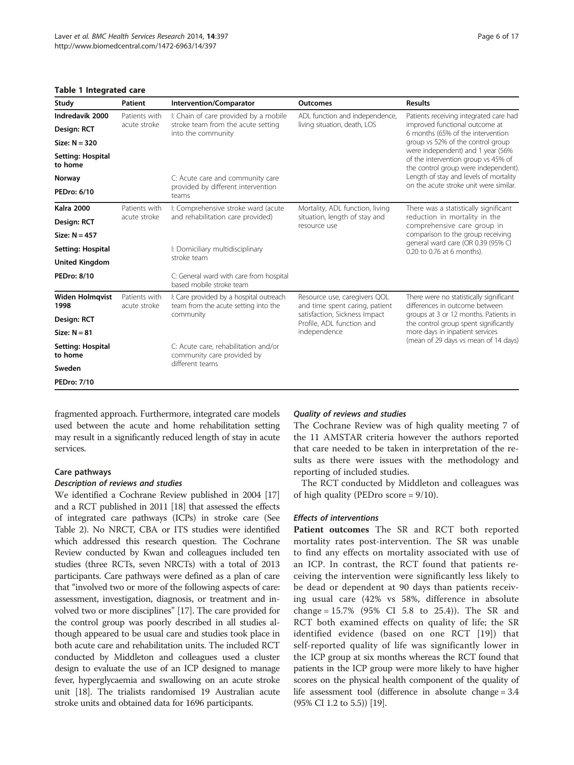#### <span id="page-5-0"></span>Table 1 Integrated care

| Study                          | <b>Patient</b>                | Intervention/Comparator                                                                           | <b>Outcomes</b>                                                                  | <b>Results</b>                                                                                                                                                                                                                                                         |  |
|--------------------------------|-------------------------------|---------------------------------------------------------------------------------------------------|----------------------------------------------------------------------------------|------------------------------------------------------------------------------------------------------------------------------------------------------------------------------------------------------------------------------------------------------------------------|--|
| Indredavik 2000                | Patients with                 | I: Chain of care provided by a mobile<br>stroke team from the acute setting<br>into the community | ADL function and independence,<br>living situation, death, LOS                   | Patients receiving integrated care had<br>improved functional outcome at<br>6 months (65% of the intervention<br>group vs 52% of the control group<br>were independent) and 1 year (56%<br>of the intervention group vs 45% of<br>the control group were independent). |  |
| Design: RCT                    | acute stroke                  |                                                                                                   |                                                                                  |                                                                                                                                                                                                                                                                        |  |
| Size: $N = 320$                |                               |                                                                                                   |                                                                                  |                                                                                                                                                                                                                                                                        |  |
| Setting: Hospital<br>to home   |                               |                                                                                                   |                                                                                  |                                                                                                                                                                                                                                                                        |  |
| Norway                         |                               | C: Acute care and community care                                                                  |                                                                                  | Length of stay and levels of mortality<br>on the acute stroke unit were similar.                                                                                                                                                                                       |  |
| PEDro: 6/10                    |                               | provided by different intervention<br>teams                                                       |                                                                                  |                                                                                                                                                                                                                                                                        |  |
| <b>Kalra 2000</b>              | Patients with                 | I: Comprehensive stroke ward (acute                                                               | Mortality, ADL function, living<br>situation, length of stay and<br>resource use | There was a statistically significant<br>reduction in mortality in the<br>comprehensive care group in<br>comparison to the group receiving<br>general ward care (OR 0.39 (95% CI                                                                                       |  |
| Design: RCT                    | acute stroke                  | and rehabilitation care provided)                                                                 |                                                                                  |                                                                                                                                                                                                                                                                        |  |
| Size: $N = 457$                |                               |                                                                                                   |                                                                                  |                                                                                                                                                                                                                                                                        |  |
| Setting: Hospital              |                               | I: Domiciliary multidisciplinary                                                                  |                                                                                  |                                                                                                                                                                                                                                                                        |  |
| <b>United Kingdom</b>          |                               | stroke team                                                                                       |                                                                                  |                                                                                                                                                                                                                                                                        |  |
| <b>PEDro: 8/10</b>             |                               | C: General ward with care from hospital<br>based mobile stroke team                               |                                                                                  |                                                                                                                                                                                                                                                                        |  |
| <b>Widen Holmqvist</b><br>1998 | Patients with<br>acute stroke | I: Care provided by a hospital outreach<br>team from the acute setting into the                   | Resource use, caregivers QOL<br>and time spent caring, patient                   | There were no statistically significant<br>differences in outcome between<br>groups at 3 or 12 months. Patients in<br>the control group spent significantly<br>more days in inpatient services                                                                         |  |
| Design: RCT                    |                               | community                                                                                         | satisfaction, Sickness Impact<br>Profile, ADL function and                       |                                                                                                                                                                                                                                                                        |  |
| Size: $N = 81$                 |                               |                                                                                                   | independence                                                                     |                                                                                                                                                                                                                                                                        |  |
| Setting: Hospital<br>to home   |                               | C: Acute care, rehabilitation and/or<br>community care provided by                                |                                                                                  | (mean of 29 days vs mean of 14 days)                                                                                                                                                                                                                                   |  |
| Sweden                         |                               | different teams                                                                                   |                                                                                  |                                                                                                                                                                                                                                                                        |  |
| <b>PEDro: 7/10</b>             |                               |                                                                                                   |                                                                                  |                                                                                                                                                                                                                                                                        |  |

fragmented approach. Furthermore, integrated care models used between the acute and home rehabilitation setting may result in a significantly reduced length of stay in acute services.

#### Care pathways

#### Description of reviews and studies

We identified a Cochrane Review published in 2004 [\[17](#page-15-0)] and a RCT published in 2011 [\[18\]](#page-15-0) that assessed the effects of integrated care pathways (ICPs) in stroke care (See Table [2](#page-6-0)). No NRCT, CBA or ITS studies were identified which addressed this research question. The Cochrane Review conducted by Kwan and colleagues included ten studies (three RCTs, seven NRCTs) with a total of 2013 participants. Care pathways were defined as a plan of care that "involved two or more of the following aspects of care: assessment, investigation, diagnosis, or treatment and involved two or more disciplines" [\[17](#page-15-0)]. The care provided for the control group was poorly described in all studies although appeared to be usual care and studies took place in both acute care and rehabilitation units. The included RCT conducted by Middleton and colleagues used a cluster design to evaluate the use of an ICP designed to manage fever, hyperglycaemia and swallowing on an acute stroke unit [\[18\]](#page-15-0). The trialists randomised 19 Australian acute stroke units and obtained data for 1696 participants.

## Quality of reviews and studies

The Cochrane Review was of high quality meeting 7 of the 11 AMSTAR criteria however the authors reported that care needed to be taken in interpretation of the results as there were issues with the methodology and reporting of included studies.

The RCT conducted by Middleton and colleagues was of high quality (PEDro score =  $9/10$ ).

## Effects of interventions

Patient outcomes The SR and RCT both reported mortality rates post-intervention. The SR was unable to find any effects on mortality associated with use of an ICP. In contrast, the RCT found that patients receiving the intervention were significantly less likely to be dead or dependent at 90 days than patients receiving usual care (42% vs 58%, difference in absolute change = 15.7% (95% CI 5.8 to 25.4)). The SR and RCT both examined effects on quality of life; the SR identified evidence (based on one RCT [[19\]](#page-15-0)) that self-reported quality of life was significantly lower in the ICP group at six months whereas the RCT found that patients in the ICP group were more likely to have higher scores on the physical health component of the quality of life assessment tool (difference in absolute change = 3.4 (95% CI 1.2 to 5.5)) [\[19](#page-15-0)].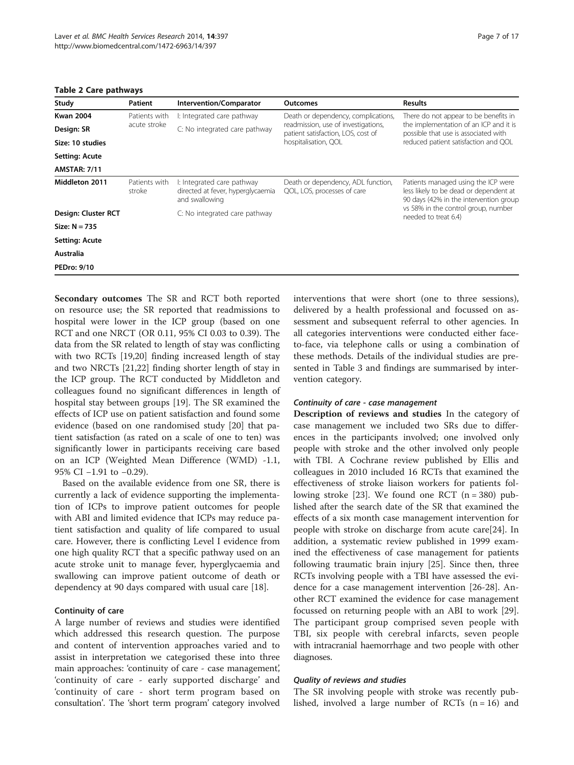<span id="page-6-0"></span>Table 2 Care pathways

| Study                 | Patient                       | Intervention/Comparator                                                           | Outcomes                                                                  | <b>Results</b>                                                                                                                                                                         |
|-----------------------|-------------------------------|-----------------------------------------------------------------------------------|---------------------------------------------------------------------------|----------------------------------------------------------------------------------------------------------------------------------------------------------------------------------------|
| <b>Kwan 2004</b>      | Patients with<br>acute stroke | I: Integrated care pathway                                                        | Death or dependency, complications,                                       | There do not appear to be benefits in<br>the implementation of an ICP and it is<br>possible that use is associated with<br>reduced patient satisfaction and QOL                        |
| Design: SR            |                               | C: No integrated care pathway                                                     | readmission, use of investigations,<br>patient satisfaction, LOS, cost of |                                                                                                                                                                                        |
| Size: 10 studies      |                               |                                                                                   | hospitalisation, QOL                                                      |                                                                                                                                                                                        |
| <b>Setting: Acute</b> |                               |                                                                                   |                                                                           |                                                                                                                                                                                        |
| <b>AMSTAR: 7/11</b>   |                               |                                                                                   |                                                                           |                                                                                                                                                                                        |
| <b>Middleton 2011</b> | Patients with<br>stroke       | I: Integrated care pathway<br>directed at fever, hyperglycaemia<br>and swallowing | Death or dependency, ADL function,<br>QOL, LOS, processes of care         | Patients managed using the ICP were<br>less likely to be dead or dependent at<br>90 days (42% in the intervention group<br>vs 58% in the control group, number<br>needed to treat 6.4) |
| Design: Cluster RCT   |                               | C: No integrated care pathway                                                     |                                                                           |                                                                                                                                                                                        |
| Size: $N = 735$       |                               |                                                                                   |                                                                           |                                                                                                                                                                                        |
| <b>Setting: Acute</b> |                               |                                                                                   |                                                                           |                                                                                                                                                                                        |
| Australia             |                               |                                                                                   |                                                                           |                                                                                                                                                                                        |
| <b>PEDro: 9/10</b>    |                               |                                                                                   |                                                                           |                                                                                                                                                                                        |

Secondary outcomes The SR and RCT both reported on resource use; the SR reported that readmissions to hospital were lower in the ICP group (based on one RCT and one NRCT (OR 0.11, 95% CI 0.03 to 0.39). The data from the SR related to length of stay was conflicting with two RCTs [[19,20\]](#page-15-0) finding increased length of stay and two NRCTs [\[21,22\]](#page-15-0) finding shorter length of stay in the ICP group. The RCT conducted by Middleton and colleagues found no significant differences in length of hospital stay between groups [[19](#page-15-0)]. The SR examined the effects of ICP use on patient satisfaction and found some evidence (based on one randomised study [\[20](#page-15-0)] that patient satisfaction (as rated on a scale of one to ten) was significantly lower in participants receiving care based on an ICP (Weighted Mean Difference (WMD) -1.1, 95% CI −1.91 to −0.29).

Based on the available evidence from one SR, there is currently a lack of evidence supporting the implementation of ICPs to improve patient outcomes for people with ABI and limited evidence that ICPs may reduce patient satisfaction and quality of life compared to usual care. However, there is conflicting Level I evidence from one high quality RCT that a specific pathway used on an acute stroke unit to manage fever, hyperglycaemia and swallowing can improve patient outcome of death or dependency at 90 days compared with usual care [[18\]](#page-15-0).

#### Continuity of care

A large number of reviews and studies were identified which addressed this research question. The purpose and content of intervention approaches varied and to assist in interpretation we categorised these into three main approaches: 'continuity of care - case management', 'continuity of care - early supported discharge' and 'continuity of care - short term program based on consultation'. The 'short term program' category involved interventions that were short (one to three sessions), delivered by a health professional and focussed on assessment and subsequent referral to other agencies. In all categories interventions were conducted either faceto-face, via telephone calls or using a combination of these methods. Details of the individual studies are presented in Table [3](#page-7-0) and findings are summarised by intervention category.

#### Continuity of care - case management

Description of reviews and studies In the category of case management we included two SRs due to differences in the participants involved; one involved only people with stroke and the other involved only people with TBI. A Cochrane review published by Ellis and colleagues in 2010 included 16 RCTs that examined the effectiveness of stroke liaison workers for patients fol-lowing stroke [\[23\]](#page-15-0). We found one RCT  $(n = 380)$  published after the search date of the SR that examined the effects of a six month case management intervention for people with stroke on discharge from acute care[\[24\]](#page-15-0). In addition, a systematic review published in 1999 examined the effectiveness of case management for patients following traumatic brain injury [\[25](#page-15-0)]. Since then, three RCTs involving people with a TBI have assessed the evidence for a case management intervention [\[26](#page-15-0)-[28\]](#page-15-0). Another RCT examined the evidence for case management focussed on returning people with an ABI to work [\[29](#page-15-0)]. The participant group comprised seven people with TBI, six people with cerebral infarcts, seven people with intracranial haemorrhage and two people with other diagnoses.

#### Quality of reviews and studies

The SR involving people with stroke was recently published, involved a large number of RCTs  $(n = 16)$  and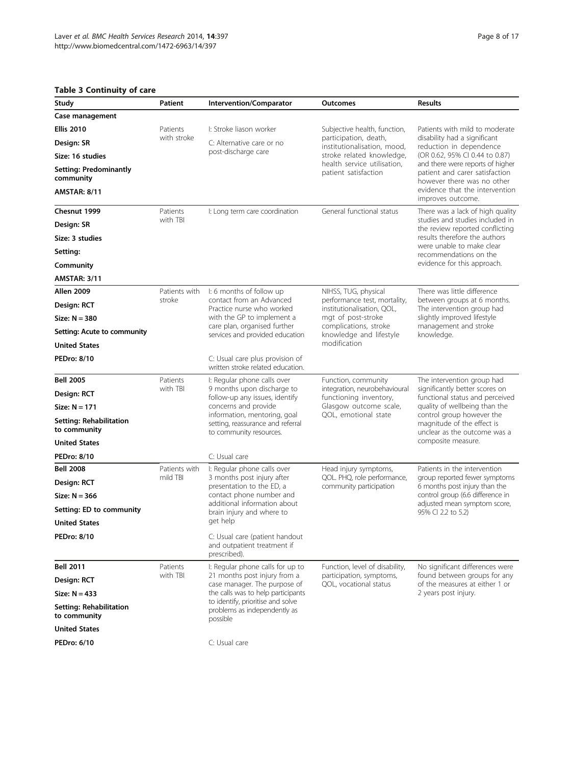## <span id="page-7-0"></span>Table 3 Continuity of care

| Study                                   | <b>Patient</b>          | Intervention/Comparator                                                                                                                                                                                             | Outcomes                                                                                                                                             | <b>Results</b>                                                                                                                                                                                                              |
|-----------------------------------------|-------------------------|---------------------------------------------------------------------------------------------------------------------------------------------------------------------------------------------------------------------|------------------------------------------------------------------------------------------------------------------------------------------------------|-----------------------------------------------------------------------------------------------------------------------------------------------------------------------------------------------------------------------------|
| Case management                         |                         |                                                                                                                                                                                                                     |                                                                                                                                                      |                                                                                                                                                                                                                             |
| <b>Ellis 2010</b>                       | Patients<br>with stroke | I: Stroke liason worker<br>C: Alternative care or no                                                                                                                                                                | Subjective health, function,                                                                                                                         | Patients with mild to moderate                                                                                                                                                                                              |
| Design: SR                              |                         |                                                                                                                                                                                                                     | participation, death,<br>institutionalisation, mood,                                                                                                 | disability had a significant<br>reduction in dependence                                                                                                                                                                     |
| Size: 16 studies                        |                         | post-discharge care                                                                                                                                                                                                 | stroke related knowledge,                                                                                                                            | (OR 0.62, 95% CI 0.44 to 0.87)                                                                                                                                                                                              |
| Setting: Predominantly<br>community     |                         |                                                                                                                                                                                                                     | health service utilisation,<br>patient satisfaction                                                                                                  | and there were reports of higher<br>patient and carer satisfaction<br>however there was no other                                                                                                                            |
| <b>AMSTAR: 8/11</b>                     |                         |                                                                                                                                                                                                                     |                                                                                                                                                      | evidence that the intervention<br>improves outcome.                                                                                                                                                                         |
| Chesnut 1999                            | Patients                | I: Long term care coordination                                                                                                                                                                                      | General functional status                                                                                                                            | There was a lack of high quality<br>studies and studies included in<br>the review reported conflicting                                                                                                                      |
| Design: SR                              | with TBI                |                                                                                                                                                                                                                     |                                                                                                                                                      |                                                                                                                                                                                                                             |
| Size: 3 studies                         |                         |                                                                                                                                                                                                                     |                                                                                                                                                      | results therefore the authors                                                                                                                                                                                               |
| Setting:                                |                         |                                                                                                                                                                                                                     |                                                                                                                                                      | were unable to make clear<br>recommendations on the                                                                                                                                                                         |
| Community                               |                         |                                                                                                                                                                                                                     |                                                                                                                                                      | evidence for this approach.                                                                                                                                                                                                 |
| <b>AMSTAR: 3/11</b>                     |                         |                                                                                                                                                                                                                     |                                                                                                                                                      |                                                                                                                                                                                                                             |
| <b>Allen 2009</b>                       | Patients with           | I: 6 months of follow up                                                                                                                                                                                            | NIHSS, TUG, physical                                                                                                                                 | There was little difference                                                                                                                                                                                                 |
| Design: RCT                             | stroke                  | contact from an Advanced<br>Practice nurse who worked                                                                                                                                                               | performance test, mortality,<br>institutionalisation, QOL,<br>mgt of post-stroke<br>complications, stroke<br>knowledge and lifestyle<br>modification | between groups at 6 months.<br>The intervention group had<br>slightly improved lifestyle<br>management and stroke<br>knowledge.                                                                                             |
| Size: $N = 380$                         |                         | with the GP to implement a                                                                                                                                                                                          |                                                                                                                                                      |                                                                                                                                                                                                                             |
| Setting: Acute to community             |                         | care plan, organised further<br>services and provided education                                                                                                                                                     |                                                                                                                                                      |                                                                                                                                                                                                                             |
| <b>United States</b>                    |                         |                                                                                                                                                                                                                     |                                                                                                                                                      |                                                                                                                                                                                                                             |
| <b>PEDro: 8/10</b>                      |                         | C: Usual care plus provision of<br>written stroke related education.                                                                                                                                                |                                                                                                                                                      |                                                                                                                                                                                                                             |
| <b>Bell 2005</b>                        | Patients                | I: Regular phone calls over<br>9 months upon discharge to<br>follow-up any issues, identify<br>concerns and provide<br>information, mentoring, goal<br>setting, reassurance and referral<br>to community resources. | Function, community<br>integration, neurobehavioural<br>functioning inventory,<br>Glasgow outcome scale,<br>QOL, emotional state                     | The intervention group had<br>significantly better scores on<br>functional status and perceived<br>quality of wellbeing than the<br>control group however the<br>magnitude of the effect is<br>unclear as the outcome was a |
| Design: RCT                             | with TBI                |                                                                                                                                                                                                                     |                                                                                                                                                      |                                                                                                                                                                                                                             |
| Size: $N = 171$                         |                         |                                                                                                                                                                                                                     |                                                                                                                                                      |                                                                                                                                                                                                                             |
| Setting: Rehabilitation<br>to community |                         |                                                                                                                                                                                                                     |                                                                                                                                                      |                                                                                                                                                                                                                             |
| <b>United States</b>                    |                         |                                                                                                                                                                                                                     |                                                                                                                                                      | composite measure.                                                                                                                                                                                                          |
| PEDro: 8/10                             |                         | C: Usual care                                                                                                                                                                                                       |                                                                                                                                                      |                                                                                                                                                                                                                             |
| <b>Bell 2008</b>                        | Patients with           | I: Regular phone calls over                                                                                                                                                                                         | Head injury symptoms,                                                                                                                                | Patients in the intervention                                                                                                                                                                                                |
| Design: RCT                             | mild TBI                | 3 months post injury after<br>presentation to the ED, a                                                                                                                                                             | QOL. PHQ, role performance,<br>community participation                                                                                               | group reported fewer symptoms<br>6 months post injury than the<br>control group (6.6 difference in                                                                                                                          |
| Size: $N = 366$                         |                         | contact phone number and<br>additional information about                                                                                                                                                            |                                                                                                                                                      |                                                                                                                                                                                                                             |
| Setting: ED to community                |                         | brain injury and where to                                                                                                                                                                                           |                                                                                                                                                      | adjusted mean symptom score,<br>95% CI 2.2 to 5.2)                                                                                                                                                                          |
| <b>United States</b>                    |                         | get help                                                                                                                                                                                                            |                                                                                                                                                      |                                                                                                                                                                                                                             |
| <b>PEDro: 8/10</b>                      |                         | C: Usual care (patient handout<br>and outpatient treatment if<br>prescribed).                                                                                                                                       |                                                                                                                                                      |                                                                                                                                                                                                                             |
| <b>Bell 2011</b>                        | Patients                | I: Regular phone calls for up to                                                                                                                                                                                    | Function, level of disability,                                                                                                                       | No significant differences were<br>found between groups for any<br>of the measures at either 1 or<br>2 years post injury.                                                                                                   |
| Design: RCT                             | with TBI                | 21 months post injury from a<br>case manager. The purpose of<br>the calls was to help participants<br>to identify, prioritise and solve<br>problems as independently as<br>possible                                 | participation, symptoms,<br>QOL, vocational status                                                                                                   |                                                                                                                                                                                                                             |
| Size: $N = 433$                         |                         |                                                                                                                                                                                                                     |                                                                                                                                                      |                                                                                                                                                                                                                             |
| Setting: Rehabilitation<br>to community |                         |                                                                                                                                                                                                                     |                                                                                                                                                      |                                                                                                                                                                                                                             |
| <b>United States</b>                    |                         |                                                                                                                                                                                                                     |                                                                                                                                                      |                                                                                                                                                                                                                             |
| PEDro: 6/10                             |                         | C: Usual care                                                                                                                                                                                                       |                                                                                                                                                      |                                                                                                                                                                                                                             |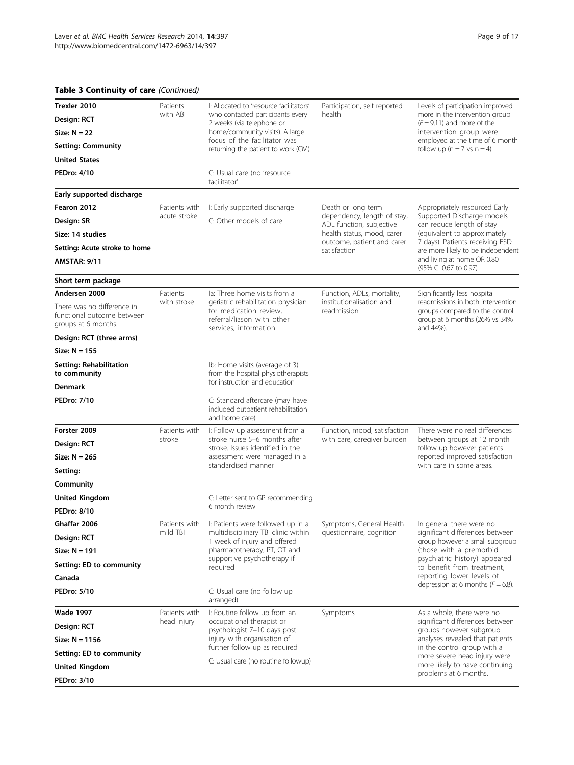## Table 3 Continuity of care (Continued)

| Trexler 2010                                                                    | Patients<br>with ABI          | I: Allocated to 'resource facilitators'<br>who contacted participants every<br>2 weeks (via telephone or                                                                                        | Participation, self reported<br>health                                        | Levels of participation improved<br>more in the intervention group<br>$(F = 9.11)$ and more of the                                                                                                                                                   |
|---------------------------------------------------------------------------------|-------------------------------|-------------------------------------------------------------------------------------------------------------------------------------------------------------------------------------------------|-------------------------------------------------------------------------------|------------------------------------------------------------------------------------------------------------------------------------------------------------------------------------------------------------------------------------------------------|
| Design: RCT                                                                     |                               |                                                                                                                                                                                                 |                                                                               |                                                                                                                                                                                                                                                      |
| Size: $N = 22$                                                                  |                               | home/community visits). A large<br>focus of the facilitator was                                                                                                                                 |                                                                               | intervention group were<br>employed at the time of 6 month                                                                                                                                                                                           |
| <b>Setting: Community</b>                                                       |                               | returning the patient to work (CM)                                                                                                                                                              |                                                                               | follow up ( $n = 7$ vs $n = 4$ ).                                                                                                                                                                                                                    |
| <b>United States</b>                                                            |                               |                                                                                                                                                                                                 |                                                                               |                                                                                                                                                                                                                                                      |
| <b>PEDro: 4/10</b>                                                              |                               | C: Usual care (no 'resource<br>facilitator'                                                                                                                                                     |                                                                               |                                                                                                                                                                                                                                                      |
| Early supported discharge                                                       |                               |                                                                                                                                                                                                 |                                                                               |                                                                                                                                                                                                                                                      |
| Fearon 2012                                                                     | Patients with<br>acute stroke | I: Early supported discharge                                                                                                                                                                    | Death or long term<br>dependency, length of stay,<br>ADL function, subjective | Appropriately resourced Early<br>Supported Discharge models<br>can reduce length of stay                                                                                                                                                             |
| Design: SR                                                                      |                               | C: Other models of care                                                                                                                                                                         |                                                                               |                                                                                                                                                                                                                                                      |
| Size: 14 studies                                                                |                               |                                                                                                                                                                                                 | health status, mood, carer<br>outcome, patient and carer                      | (equivalent to approximately<br>7 days). Patients receiving ESD                                                                                                                                                                                      |
| Setting: Acute stroke to home                                                   |                               |                                                                                                                                                                                                 | satisfaction                                                                  | are more likely to be independent                                                                                                                                                                                                                    |
| <b>AMSTAR: 9/11</b>                                                             |                               |                                                                                                                                                                                                 |                                                                               | and living at home OR 0.80<br>(95% CI 0.67 to 0.97)                                                                                                                                                                                                  |
| Short term package                                                              |                               |                                                                                                                                                                                                 |                                                                               |                                                                                                                                                                                                                                                      |
| Andersen 2000                                                                   | Patients                      | la: Three home visits from a                                                                                                                                                                    | Function, ADLs, mortality,                                                    | Significantly less hospital                                                                                                                                                                                                                          |
| There was no difference in<br>functional outcome between<br>groups at 6 months. | with stroke                   | geriatric rehabilitation physician<br>for medication review,<br>referral/liason with other<br>services, information                                                                             | institutionalisation and<br>readmission                                       | readmissions in both intervention<br>groups compared to the control<br>group at 6 months (26% vs 34%<br>and 44%).                                                                                                                                    |
| Design: RCT (three arms)                                                        |                               |                                                                                                                                                                                                 |                                                                               |                                                                                                                                                                                                                                                      |
| Size: $N = 155$                                                                 |                               |                                                                                                                                                                                                 |                                                                               |                                                                                                                                                                                                                                                      |
| Setting: Rehabilitation<br>to community                                         |                               | Ib: Home visits (average of 3)<br>from the hospital physiotherapists                                                                                                                            |                                                                               |                                                                                                                                                                                                                                                      |
| <b>Denmark</b>                                                                  |                               | for instruction and education                                                                                                                                                                   |                                                                               |                                                                                                                                                                                                                                                      |
| PEDro: 7/10                                                                     |                               | C: Standard aftercare (may have<br>included outpatient rehabilitation<br>and home care)                                                                                                         |                                                                               |                                                                                                                                                                                                                                                      |
| Forster 2009                                                                    | Patients with                 | I: Follow up assessment from a                                                                                                                                                                  | Function, mood, satisfaction                                                  | There were no real differences                                                                                                                                                                                                                       |
| Design: RCT                                                                     | stroke                        | stroke nurse 5-6 months after<br>stroke. Issues identified in the<br>assessment were managed in a<br>standardised manner                                                                        | with care, caregiver burden                                                   | between groups at 12 month<br>follow up however patients<br>reported improved satisfaction<br>with care in some areas.                                                                                                                               |
| Size: $N = 265$                                                                 |                               |                                                                                                                                                                                                 |                                                                               |                                                                                                                                                                                                                                                      |
| Setting:                                                                        |                               |                                                                                                                                                                                                 |                                                                               |                                                                                                                                                                                                                                                      |
| Community                                                                       |                               |                                                                                                                                                                                                 |                                                                               |                                                                                                                                                                                                                                                      |
| <b>United Kingdom</b>                                                           |                               | C: Letter sent to GP recommending                                                                                                                                                               |                                                                               |                                                                                                                                                                                                                                                      |
| <b>PEDro: 8/10</b>                                                              |                               | 6 month review                                                                                                                                                                                  |                                                                               |                                                                                                                                                                                                                                                      |
| Ghaffar 2006                                                                    | Patients with                 | I: Patients were followed up in a<br>multidisciplinary TBI clinic within<br>1 week of injury and offered                                                                                        | Symptoms, General Health<br>questionnaire, cognition                          | In general there were no<br>significant differences between<br>group however a small subgroup<br>(those with a premorbid<br>psychiatric history) appeared<br>to benefit from treatment,<br>reporting lower levels of                                 |
| Design: RCT                                                                     | mild TBI                      |                                                                                                                                                                                                 |                                                                               |                                                                                                                                                                                                                                                      |
| Size: $N = 191$                                                                 |                               | pharmacotherapy, PT, OT and                                                                                                                                                                     |                                                                               |                                                                                                                                                                                                                                                      |
| Setting: ED to community                                                        |                               | supportive psychotherapy if<br>required                                                                                                                                                         |                                                                               |                                                                                                                                                                                                                                                      |
| Canada                                                                          |                               |                                                                                                                                                                                                 |                                                                               |                                                                                                                                                                                                                                                      |
| PEDro: 5/10                                                                     |                               | C: Usual care (no follow up<br>arranged)                                                                                                                                                        |                                                                               | depression at 6 months ( $F = 6.8$ ).                                                                                                                                                                                                                |
| <b>Wade 1997</b>                                                                | Patients with                 | I: Routine follow up from an<br>occupational therapist or<br>psychologist 7-10 days post<br>injury with organisation of<br>further follow up as required<br>C: Usual care (no routine followup) | Symptoms                                                                      | As a whole, there were no<br>significant differences between<br>groups however subgroup<br>analyses revealed that patients<br>in the control group with a<br>more severe head injury were<br>more likely to have continuing<br>problems at 6 months. |
| Design: RCT                                                                     | head injury                   |                                                                                                                                                                                                 |                                                                               |                                                                                                                                                                                                                                                      |
| Size: $N = 1156$                                                                |                               |                                                                                                                                                                                                 |                                                                               |                                                                                                                                                                                                                                                      |
| Setting: ED to community                                                        |                               |                                                                                                                                                                                                 |                                                                               |                                                                                                                                                                                                                                                      |
| United Kingdom                                                                  |                               |                                                                                                                                                                                                 |                                                                               |                                                                                                                                                                                                                                                      |
| PEDro: 3/10                                                                     |                               |                                                                                                                                                                                                 |                                                                               |                                                                                                                                                                                                                                                      |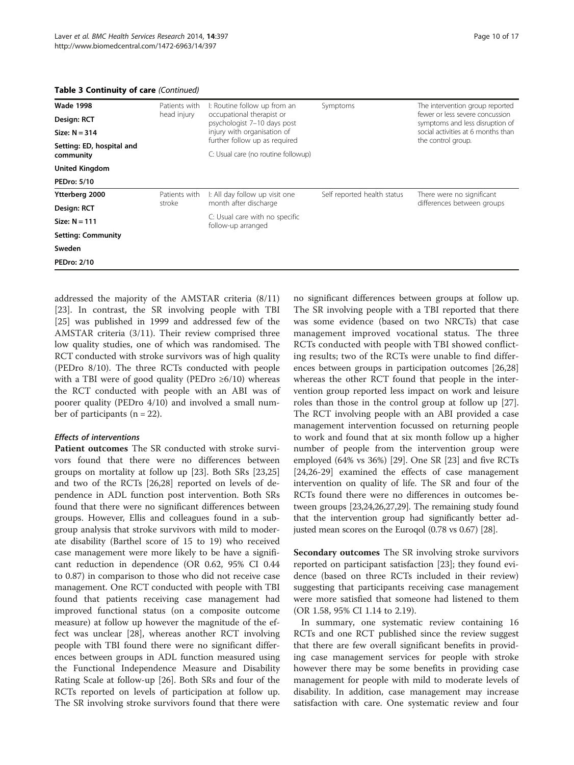addressed the majority of the AMSTAR criteria (8/11) [[23\]](#page-15-0). In contrast, the SR involving people with TBI [[25\]](#page-15-0) was published in 1999 and addressed few of the AMSTAR criteria (3/11). Their review comprised three low quality studies, one of which was randomised. The RCT conducted with stroke survivors was of high quality (PEDro 8/10). The three RCTs conducted with people with a TBI were of good quality (PEDro  $\geq 6/10$ ) whereas the RCT conducted with people with an ABI was of poorer quality (PEDro 4/10) and involved a small number of participants  $(n = 22)$ .

#### Effects of interventions

Patient outcomes The SR conducted with stroke survivors found that there were no differences between groups on mortality at follow up [\[23](#page-15-0)]. Both SRs [[23](#page-15-0),[25](#page-15-0)] and two of the RCTs [[26,28\]](#page-15-0) reported on levels of dependence in ADL function post intervention. Both SRs found that there were no significant differences between groups. However, Ellis and colleagues found in a subgroup analysis that stroke survivors with mild to moderate disability (Barthel score of 15 to 19) who received case management were more likely to be have a significant reduction in dependence (OR 0.62, 95% CI 0.44 to 0.87) in comparison to those who did not receive case management. One RCT conducted with people with TBI found that patients receiving case management had improved functional status (on a composite outcome measure) at follow up however the magnitude of the effect was unclear [[28\]](#page-15-0), whereas another RCT involving people with TBI found there were no significant differences between groups in ADL function measured using the Functional Independence Measure and Disability Rating Scale at follow-up [[26](#page-15-0)]. Both SRs and four of the RCTs reported on levels of participation at follow up. The SR involving stroke survivors found that there were no significant differences between groups at follow up. The SR involving people with a TBI reported that there was some evidence (based on two NRCTs) that case management improved vocational status. The three RCTs conducted with people with TBI showed conflicting results; two of the RCTs were unable to find differences between groups in participation outcomes [[26,28](#page-15-0)] whereas the other RCT found that people in the intervention group reported less impact on work and leisure roles than those in the control group at follow up [\[27](#page-15-0)]. The RCT involving people with an ABI provided a case management intervention focussed on returning people to work and found that at six month follow up a higher number of people from the intervention group were employed (64% vs 36%) [[29\]](#page-15-0). One SR [\[23](#page-15-0)] and five RCTs [[24,26-29\]](#page-15-0) examined the effects of case management intervention on quality of life. The SR and four of the RCTs found there were no differences in outcomes between groups [[23,24,26,27,29](#page-15-0)]. The remaining study found that the intervention group had significantly better adjusted mean scores on the Euroqol (0.78 vs 0.67) [[28](#page-15-0)].

Secondary outcomes The SR involving stroke survivors reported on participant satisfaction [[23\]](#page-15-0); they found evidence (based on three RCTs included in their review) suggesting that participants receiving case management were more satisfied that someone had listened to them (OR 1.58, 95% CI 1.14 to 2.19).

In summary, one systematic review containing 16 RCTs and one RCT published since the review suggest that there are few overall significant benefits in providing case management services for people with stroke however there may be some benefits in providing case management for people with mild to moderate levels of disability. In addition, case management may increase satisfaction with care. One systematic review and four

## Table 3 Continuity of care (Continued)

| http://www.biomedcentral.com/1472-6963/14/397 |
|-----------------------------------------------|
|                                               |
|                                               |
|                                               |

| Wade 1998                 | Patients with<br>head injury | I: Routine follow up from an<br>occupational therapist or<br>psychologist 7-10 days post<br>injury with organisation of<br>further follow up as required | Symptoms                    | The intervention group reported<br>fewer or less severe concussion<br>symptoms and less disruption of<br>social activities at 6 months than<br>the control group. |
|---------------------------|------------------------------|----------------------------------------------------------------------------------------------------------------------------------------------------------|-----------------------------|-------------------------------------------------------------------------------------------------------------------------------------------------------------------|
| Design: RCT               |                              |                                                                                                                                                          |                             |                                                                                                                                                                   |
| Size: N = 314             |                              |                                                                                                                                                          |                             |                                                                                                                                                                   |
| Setting: ED, hospital and |                              |                                                                                                                                                          |                             |                                                                                                                                                                   |
| community                 |                              | C: Usual care (no routine followup)                                                                                                                      |                             |                                                                                                                                                                   |
| <b>United Kingdom</b>     |                              |                                                                                                                                                          |                             |                                                                                                                                                                   |
| <b>PEDro: 5/10</b>        |                              |                                                                                                                                                          |                             |                                                                                                                                                                   |
| Ytterberg 2000            | Patients with                | I: All day follow up visit one                                                                                                                           | Self reported health status | There were no significant                                                                                                                                         |
| Design: RCT               | stroke                       | month after discharge                                                                                                                                    |                             | differences between groups                                                                                                                                        |
| Size: N = 111             |                              | C: Usual care with no specific<br>follow-up arranged                                                                                                     |                             |                                                                                                                                                                   |
| Setting: Community        |                              |                                                                                                                                                          |                             |                                                                                                                                                                   |
| Sweden                    |                              |                                                                                                                                                          |                             |                                                                                                                                                                   |
| <b>PEDro: 2/10</b>        |                              |                                                                                                                                                          |                             |                                                                                                                                                                   |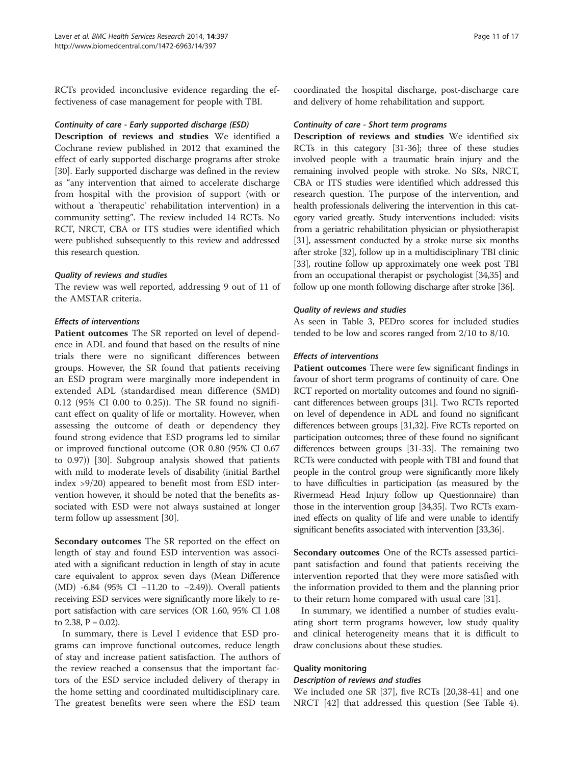RCTs provided inconclusive evidence regarding the effectiveness of case management for people with TBI.

#### Continuity of care - Early supported discharge (ESD)

Description of reviews and studies We identified a Cochrane review published in 2012 that examined the effect of early supported discharge programs after stroke [[30\]](#page-15-0). Early supported discharge was defined in the review as "any intervention that aimed to accelerate discharge from hospital with the provision of support (with or without a 'therapeutic' rehabilitation intervention) in a community setting". The review included 14 RCTs. No RCT, NRCT, CBA or ITS studies were identified which were published subsequently to this review and addressed this research question.

#### Quality of reviews and studies

The review was well reported, addressing 9 out of 11 of the AMSTAR criteria.

## Effects of interventions

Patient outcomes The SR reported on level of dependence in ADL and found that based on the results of nine trials there were no significant differences between groups. However, the SR found that patients receiving an ESD program were marginally more independent in extended ADL (standardised mean difference (SMD) 0.12 (95% CI 0.00 to 0.25)). The SR found no significant effect on quality of life or mortality. However, when assessing the outcome of death or dependency they found strong evidence that ESD programs led to similar or improved functional outcome (OR 0.80 (95% CI 0.67 to 0.97)) [\[30\]](#page-15-0). Subgroup analysis showed that patients with mild to moderate levels of disability (initial Barthel index >9/20) appeared to benefit most from ESD intervention however, it should be noted that the benefits associated with ESD were not always sustained at longer term follow up assessment [\[30](#page-15-0)].

Secondary outcomes The SR reported on the effect on length of stay and found ESD intervention was associated with a significant reduction in length of stay in acute care equivalent to approx seven days (Mean Difference (MD) -6.84 (95% CI −11.20 to −2.49)). Overall patients receiving ESD services were significantly more likely to report satisfaction with care services (OR 1.60, 95% CI 1.08 to 2.38,  $P = 0.02$ ).

In summary, there is Level I evidence that ESD programs can improve functional outcomes, reduce length of stay and increase patient satisfaction. The authors of the review reached a consensus that the important factors of the ESD service included delivery of therapy in the home setting and coordinated multidisciplinary care. The greatest benefits were seen where the ESD team

coordinated the hospital discharge, post-discharge care and delivery of home rehabilitation and support.

#### Continuity of care - Short term programs

Description of reviews and studies We identified six RCTs in this category [\[31-36\]](#page-15-0); three of these studies involved people with a traumatic brain injury and the remaining involved people with stroke. No SRs, NRCT, CBA or ITS studies were identified which addressed this research question. The purpose of the intervention, and health professionals delivering the intervention in this category varied greatly. Study interventions included: visits from a geriatric rehabilitation physician or physiotherapist [[31](#page-15-0)], assessment conducted by a stroke nurse six months after stroke [\[32\]](#page-15-0), follow up in a multidisciplinary TBI clinic [[33](#page-15-0)], routine follow up approximately one week post TBI from an occupational therapist or psychologist [[34,35\]](#page-15-0) and follow up one month following discharge after stroke [[36](#page-15-0)].

#### Quality of reviews and studies

As seen in Table [3,](#page-7-0) PEDro scores for included studies tended to be low and scores ranged from 2/10 to 8/10.

#### Effects of interventions

Patient outcomes There were few significant findings in favour of short term programs of continuity of care. One RCT reported on mortality outcomes and found no significant differences between groups [\[31\]](#page-15-0). Two RCTs reported on level of dependence in ADL and found no significant differences between groups [[31,32\]](#page-15-0). Five RCTs reported on participation outcomes; three of these found no significant differences between groups [\[31-33\]](#page-15-0). The remaining two RCTs were conducted with people with TBI and found that people in the control group were significantly more likely to have difficulties in participation (as measured by the Rivermead Head Injury follow up Questionnaire) than those in the intervention group [[34,35\]](#page-15-0). Two RCTs examined effects on quality of life and were unable to identify significant benefits associated with intervention [\[33,36](#page-15-0)].

Secondary outcomes One of the RCTs assessed participant satisfaction and found that patients receiving the intervention reported that they were more satisfied with the information provided to them and the planning prior to their return home compared with usual care [\[31](#page-15-0)].

In summary, we identified a number of studies evaluating short term programs however, low study quality and clinical heterogeneity means that it is difficult to draw conclusions about these studies.

#### Quality monitoring

#### Description of reviews and studies

We included one SR [\[37](#page-15-0)], five RCTs [\[20,38-41](#page-15-0)] and one NRCT [\[42](#page-15-0)] that addressed this question (See Table [4](#page-11-0)).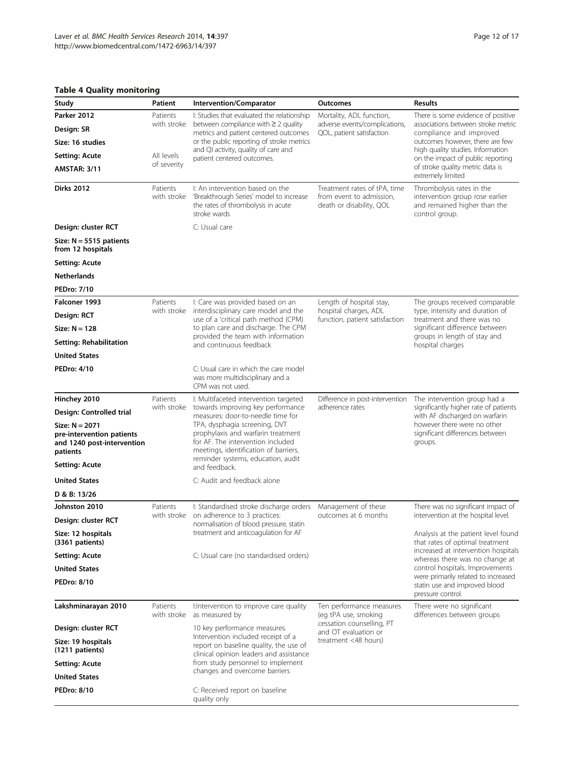<span id="page-11-0"></span>Table 4 Quality monitoring

| Study                                                                                 | Patient                                              | Intervention/Comparator                                                                                                                                                                                                                                                                                                     | Outcomes                                                                                                                      | Results                                                                                                                                                                                                                                                                         |
|---------------------------------------------------------------------------------------|------------------------------------------------------|-----------------------------------------------------------------------------------------------------------------------------------------------------------------------------------------------------------------------------------------------------------------------------------------------------------------------------|-------------------------------------------------------------------------------------------------------------------------------|---------------------------------------------------------------------------------------------------------------------------------------------------------------------------------------------------------------------------------------------------------------------------------|
| Parker 2012                                                                           | Patients<br>with stroke<br>All levels<br>of severity | I: Studies that evaluated the relationship<br>between compliance with $\geq 2$ quality<br>metrics and patient centered outcomes<br>or the public reporting of stroke metrics                                                                                                                                                | Mortality, ADL function,<br>adverse events/complications,<br>QOL, patient satisfaction                                        | There is some evidence of positive<br>associations between stroke metric<br>compliance and improved                                                                                                                                                                             |
| Design: SR                                                                            |                                                      |                                                                                                                                                                                                                                                                                                                             |                                                                                                                               |                                                                                                                                                                                                                                                                                 |
| Size: 16 studies                                                                      |                                                      |                                                                                                                                                                                                                                                                                                                             |                                                                                                                               | outcomes however, there are few                                                                                                                                                                                                                                                 |
| <b>Setting: Acute</b>                                                                 |                                                      | and QI activity, quality of care and<br>patient centered outcomes.                                                                                                                                                                                                                                                          |                                                                                                                               | high quality studies. Information<br>on the impact of public reporting                                                                                                                                                                                                          |
| AMSTAR: 3/11                                                                          |                                                      |                                                                                                                                                                                                                                                                                                                             |                                                                                                                               | of stroke quality metric data is<br>extremely limited                                                                                                                                                                                                                           |
| <b>Dirks 2012</b>                                                                     | Patients<br>with stroke                              | I: An intervention based on the<br>'Breakthrough Series' model to increase<br>the rates of thrombolysis in acute<br>stroke wards                                                                                                                                                                                            | Treatment rates of tPA, time<br>from event to admission,<br>death or disability, QOL                                          | Thrombolysis rates in the<br>intervention group rose earlier<br>and remained higher than the<br>control group.                                                                                                                                                                  |
| Design: cluster RCT                                                                   |                                                      | C: Usual care                                                                                                                                                                                                                                                                                                               |                                                                                                                               |                                                                                                                                                                                                                                                                                 |
| Size: $N = 5515$ patients<br>from 12 hospitals                                        |                                                      |                                                                                                                                                                                                                                                                                                                             |                                                                                                                               |                                                                                                                                                                                                                                                                                 |
| <b>Setting: Acute</b>                                                                 |                                                      |                                                                                                                                                                                                                                                                                                                             |                                                                                                                               |                                                                                                                                                                                                                                                                                 |
| <b>Netherlands</b>                                                                    |                                                      |                                                                                                                                                                                                                                                                                                                             |                                                                                                                               |                                                                                                                                                                                                                                                                                 |
| PEDro: 7/10                                                                           |                                                      |                                                                                                                                                                                                                                                                                                                             |                                                                                                                               |                                                                                                                                                                                                                                                                                 |
| Falconer 1993                                                                         | Patients                                             | I: Care was provided based on an                                                                                                                                                                                                                                                                                            | Length of hospital stay,<br>hospital charges, ADL<br>function, patient satisfaction                                           | The groups received comparable                                                                                                                                                                                                                                                  |
| Design: RCT                                                                           | with stroke                                          | interdisciplinary care model and the<br>use of a 'critical path method (CPM)<br>to plan care and discharge. The CPM<br>provided the team with information<br>and continuous feedback                                                                                                                                        |                                                                                                                               | type, intensity and duration of<br>treatment and there was no<br>significant difference between<br>groups in length of stay and<br>hospital charges                                                                                                                             |
| Size: $N = 128$                                                                       |                                                      |                                                                                                                                                                                                                                                                                                                             |                                                                                                                               |                                                                                                                                                                                                                                                                                 |
| Setting: Rehabilitation                                                               |                                                      |                                                                                                                                                                                                                                                                                                                             |                                                                                                                               |                                                                                                                                                                                                                                                                                 |
| <b>United States</b>                                                                  |                                                      |                                                                                                                                                                                                                                                                                                                             |                                                                                                                               |                                                                                                                                                                                                                                                                                 |
| <b>PEDro: 4/10</b>                                                                    |                                                      | C: Usual care in which the care model<br>was more multidisciplinary and a<br>CPM was not used.                                                                                                                                                                                                                              |                                                                                                                               |                                                                                                                                                                                                                                                                                 |
| Hinchey 2010                                                                          | Patients                                             | I: Multifaceted intervention targeted<br>towards improving key performance<br>measures: door-to-needle time for<br>TPA, dysphagia screening, DVT<br>prophylaxis and warfarin treatment<br>for AF. The intervention included<br>meetings, identification of barriers,<br>reminder systems, education, audit<br>and feedback. | Difference in post-intervention<br>adherence rates                                                                            | The intervention group had a<br>significantly higher rate of patients<br>with AF discharged on warfarin<br>however there were no other<br>significant differences between<br>groups.                                                                                            |
| Design: Controlled trial                                                              | with stroke                                          |                                                                                                                                                                                                                                                                                                                             |                                                                                                                               |                                                                                                                                                                                                                                                                                 |
| Size: N = 2071<br>pre-intervention patients<br>and 1240 post-intervention<br>patients |                                                      |                                                                                                                                                                                                                                                                                                                             |                                                                                                                               |                                                                                                                                                                                                                                                                                 |
| <b>Setting: Acute</b>                                                                 |                                                      |                                                                                                                                                                                                                                                                                                                             |                                                                                                                               |                                                                                                                                                                                                                                                                                 |
| <b>United States</b>                                                                  |                                                      | C: Audit and feedback alone                                                                                                                                                                                                                                                                                                 |                                                                                                                               |                                                                                                                                                                                                                                                                                 |
| D & B: 13/26                                                                          |                                                      |                                                                                                                                                                                                                                                                                                                             |                                                                                                                               |                                                                                                                                                                                                                                                                                 |
| Johnston 2010                                                                         | Patients<br>with stroke                              | I: Standardised stroke discharge orders                                                                                                                                                                                                                                                                                     | Management of these<br>outcomes at 6 months                                                                                   | There was no significant impact of<br>intervention at the hospital level.                                                                                                                                                                                                       |
| Design: cluster RCT                                                                   |                                                      | on adherence to 3 practices:<br>normalisation of blood pressure, statin<br>treatment and anticoagulation for AF<br>C: Usual care (no standardised orders)                                                                                                                                                                   |                                                                                                                               | Analysis at the patient level found<br>that rates of optimal treatment<br>increased at intervention hospitals<br>whereas there was no change at<br>control hospitals. Improvements<br>were primarily related to increased<br>statin use and improved blood<br>pressure control. |
| Size: 12 hospitals<br>(3361 patients)                                                 |                                                      |                                                                                                                                                                                                                                                                                                                             |                                                                                                                               |                                                                                                                                                                                                                                                                                 |
| <b>Setting: Acute</b>                                                                 |                                                      |                                                                                                                                                                                                                                                                                                                             |                                                                                                                               |                                                                                                                                                                                                                                                                                 |
| <b>United States</b>                                                                  |                                                      |                                                                                                                                                                                                                                                                                                                             |                                                                                                                               |                                                                                                                                                                                                                                                                                 |
| <b>PEDro: 8/10</b>                                                                    |                                                      |                                                                                                                                                                                                                                                                                                                             |                                                                                                                               |                                                                                                                                                                                                                                                                                 |
| Lakshminarayan 2010                                                                   | Patients                                             | l: Intervention to improve care quality<br>with stroke as measured by                                                                                                                                                                                                                                                       | Ten performance measures<br>(eg tPA use, smoking<br>cessation counselling, PT<br>and OT evaluation or<br>treatment <48 hours) | There were no significant<br>differences between groups                                                                                                                                                                                                                         |
| Design: cluster RCT                                                                   |                                                      | 10 key performance measures.<br>Intervention included receipt of a<br>report on baseline quality, the use of<br>clinical opinion leaders and assistance<br>from study personnel to implement<br>changes and overcome barriers                                                                                               |                                                                                                                               |                                                                                                                                                                                                                                                                                 |
| Size: 19 hospitals<br>(1211 patients)                                                 |                                                      |                                                                                                                                                                                                                                                                                                                             |                                                                                                                               |                                                                                                                                                                                                                                                                                 |
| <b>Setting: Acute</b>                                                                 |                                                      |                                                                                                                                                                                                                                                                                                                             |                                                                                                                               |                                                                                                                                                                                                                                                                                 |
| <b>United States</b>                                                                  |                                                      |                                                                                                                                                                                                                                                                                                                             |                                                                                                                               |                                                                                                                                                                                                                                                                                 |
| <b>PEDro: 8/10</b>                                                                    |                                                      | C: Received report on baseline<br>quality only                                                                                                                                                                                                                                                                              |                                                                                                                               |                                                                                                                                                                                                                                                                                 |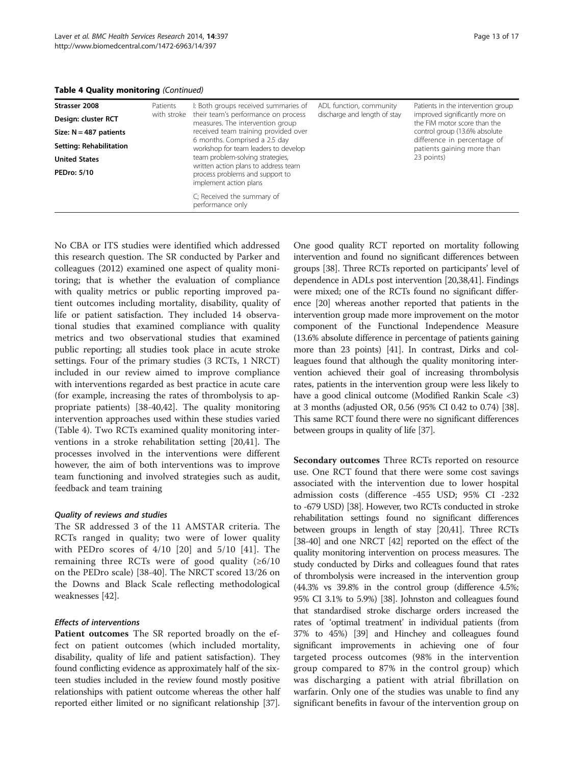| Strasser 2008                              | Patients | I: Both groups received summaries of<br>with stroke their team's performance on process<br>measures. The intervention group<br>received team training provided over | ADL function, community<br>discharge and length of stay | Patients in the intervention group<br>improved significantly more on<br>the FIM motor score than the<br>control group (13.6% absolute |
|--------------------------------------------|----------|---------------------------------------------------------------------------------------------------------------------------------------------------------------------|---------------------------------------------------------|---------------------------------------------------------------------------------------------------------------------------------------|
| Design: cluster RCT                        |          |                                                                                                                                                                     |                                                         |                                                                                                                                       |
| Size: $N = 487$ patients                   |          |                                                                                                                                                                     |                                                         |                                                                                                                                       |
| <b>Setting: Rehabilitation</b>             |          | 6 months. Comprised a 2.5 day<br>workshop for team leaders to develop<br>team problem-solving strategies,<br>written action plans to address team                   |                                                         | difference in percentage of<br>patients gaining more than<br>23 points)                                                               |
| <b>United States</b><br><b>PEDro: 5/10</b> |          |                                                                                                                                                                     |                                                         |                                                                                                                                       |
|                                            |          | process problems and support to<br>implement action plans                                                                                                           |                                                         |                                                                                                                                       |
|                                            |          | C; Received the summary of<br>performance only                                                                                                                      |                                                         |                                                                                                                                       |

Table 4 Quality monitoring (Continued)

No CBA or ITS studies were identified which addressed this research question. The SR conducted by Parker and colleagues (2012) examined one aspect of quality monitoring; that is whether the evaluation of compliance with quality metrics or public reporting improved patient outcomes including mortality, disability, quality of life or patient satisfaction. They included 14 observational studies that examined compliance with quality metrics and two observational studies that examined public reporting; all studies took place in acute stroke settings. Four of the primary studies (3 RCTs, 1 NRCT) included in our review aimed to improve compliance with interventions regarded as best practice in acute care (for example, increasing the rates of thrombolysis to appropriate patients) [[38-40,42\]](#page-15-0). The quality monitoring intervention approaches used within these studies varied (Table [4](#page-11-0)). Two RCTs examined quality monitoring interventions in a stroke rehabilitation setting [\[20,41](#page-15-0)]. The processes involved in the interventions were different however, the aim of both interventions was to improve team functioning and involved strategies such as audit, feedback and team training

## Quality of reviews and studies

The SR addressed 3 of the 11 AMSTAR criteria. The RCTs ranged in quality; two were of lower quality with PEDro scores of 4/10 [[20](#page-15-0)] and 5/10 [[41](#page-15-0)]. The remaining three RCTs were of good quality (≥6/10 on the PEDro scale) [[38-40\]](#page-15-0). The NRCT scored 13/26 on the Downs and Black Scale reflecting methodological weaknesses [[42](#page-15-0)].

## Effects of interventions

Patient outcomes The SR reported broadly on the effect on patient outcomes (which included mortality, disability, quality of life and patient satisfaction). They found conflicting evidence as approximately half of the sixteen studies included in the review found mostly positive relationships with patient outcome whereas the other half reported either limited or no significant relationship [[37](#page-15-0)].

One good quality RCT reported on mortality following intervention and found no significant differences between groups [\[38](#page-15-0)]. Three RCTs reported on participants' level of dependence in ADLs post intervention [\[20,38](#page-15-0),[41\]](#page-15-0). Findings were mixed; one of the RCTs found no significant difference [\[20\]](#page-15-0) whereas another reported that patients in the intervention group made more improvement on the motor component of the Functional Independence Measure (13.6% absolute difference in percentage of patients gaining more than 23 points) [\[41\]](#page-15-0). In contrast, Dirks and colleagues found that although the quality monitoring intervention achieved their goal of increasing thrombolysis rates, patients in the intervention group were less likely to have a good clinical outcome (Modified Rankin Scale <3) at 3 months (adjusted OR, 0.56 (95% CI 0.42 to 0.74) [\[38](#page-15-0)]. This same RCT found there were no significant differences between groups in quality of life [\[37](#page-15-0)].

Secondary outcomes Three RCTs reported on resource use. One RCT found that there were some cost savings associated with the intervention due to lower hospital admission costs (difference -455 USD; 95% CI -232 to -679 USD) [\[38](#page-15-0)]. However, two RCTs conducted in stroke rehabilitation settings found no significant differences between groups in length of stay [\[20,41\]](#page-15-0). Three RCTs [[38](#page-15-0)-[40\]](#page-15-0) and one NRCT [\[42\]](#page-15-0) reported on the effect of the quality monitoring intervention on process measures. The study conducted by Dirks and colleagues found that rates of thrombolysis were increased in the intervention group (44.3% vs 39.8% in the control group (difference 4.5%; 95% CI 3.1% to 5.9%) [\[38](#page-15-0)]. Johnston and colleagues found that standardised stroke discharge orders increased the rates of 'optimal treatment' in individual patients (from 37% to 45%) [\[39](#page-15-0)] and Hinchey and colleagues found significant improvements in achieving one of four targeted process outcomes (98% in the intervention group compared to 87% in the control group) which was discharging a patient with atrial fibrillation on warfarin. Only one of the studies was unable to find any significant benefits in favour of the intervention group on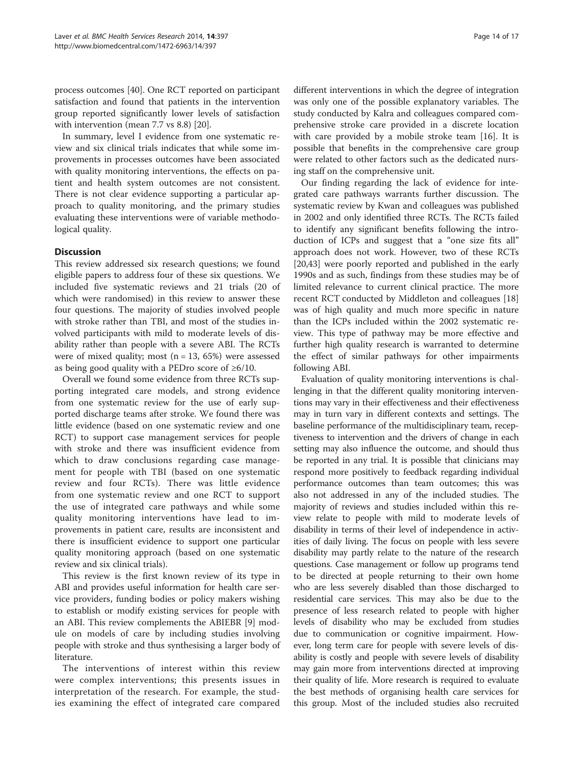process outcomes [\[40\]](#page-15-0). One RCT reported on participant satisfaction and found that patients in the intervention group reported significantly lower levels of satisfaction with intervention (mean 7.7 vs 8.8) [\[20](#page-15-0)].

In summary, level I evidence from one systematic review and six clinical trials indicates that while some improvements in processes outcomes have been associated with quality monitoring interventions, the effects on patient and health system outcomes are not consistent. There is not clear evidence supporting a particular approach to quality monitoring, and the primary studies evaluating these interventions were of variable methodological quality.

## **Discussion**

This review addressed six research questions; we found eligible papers to address four of these six questions. We included five systematic reviews and 21 trials (20 of which were randomised) in this review to answer these four questions. The majority of studies involved people with stroke rather than TBI, and most of the studies involved participants with mild to moderate levels of disability rather than people with a severe ABI. The RCTs were of mixed quality; most ( $n = 13, 65\%$ ) were assessed as being good quality with a PEDro score of ≥6/10.

Overall we found some evidence from three RCTs supporting integrated care models, and strong evidence from one systematic review for the use of early supported discharge teams after stroke. We found there was little evidence (based on one systematic review and one RCT) to support case management services for people with stroke and there was insufficient evidence from which to draw conclusions regarding case management for people with TBI (based on one systematic review and four RCTs). There was little evidence from one systematic review and one RCT to support the use of integrated care pathways and while some quality monitoring interventions have lead to improvements in patient care, results are inconsistent and there is insufficient evidence to support one particular quality monitoring approach (based on one systematic review and six clinical trials).

This review is the first known review of its type in ABI and provides useful information for health care service providers, funding bodies or policy makers wishing to establish or modify existing services for people with an ABI. This review complements the ABIEBR [\[9\]](#page-15-0) module on models of care by including studies involving people with stroke and thus synthesising a larger body of literature.

The interventions of interest within this review were complex interventions; this presents issues in interpretation of the research. For example, the studies examining the effect of integrated care compared

different interventions in which the degree of integration was only one of the possible explanatory variables. The study conducted by Kalra and colleagues compared comprehensive stroke care provided in a discrete location with care provided by a mobile stroke team [[16](#page-15-0)]. It is possible that benefits in the comprehensive care group were related to other factors such as the dedicated nursing staff on the comprehensive unit.

Our finding regarding the lack of evidence for integrated care pathways warrants further discussion. The systematic review by Kwan and colleagues was published in 2002 and only identified three RCTs. The RCTs failed to identify any significant benefits following the introduction of ICPs and suggest that a "one size fits all" approach does not work. However, two of these RCTs [[20,](#page-15-0)[43\]](#page-16-0) were poorly reported and published in the early 1990s and as such, findings from these studies may be of limited relevance to current clinical practice. The more recent RCT conducted by Middleton and colleagues [[18](#page-15-0)] was of high quality and much more specific in nature than the ICPs included within the 2002 systematic review. This type of pathway may be more effective and further high quality research is warranted to determine the effect of similar pathways for other impairments following ABI.

Evaluation of quality monitoring interventions is challenging in that the different quality monitoring interventions may vary in their effectiveness and their effectiveness may in turn vary in different contexts and settings. The baseline performance of the multidisciplinary team, receptiveness to intervention and the drivers of change in each setting may also influence the outcome, and should thus be reported in any trial. It is possible that clinicians may respond more positively to feedback regarding individual performance outcomes than team outcomes; this was also not addressed in any of the included studies. The majority of reviews and studies included within this review relate to people with mild to moderate levels of disability in terms of their level of independence in activities of daily living. The focus on people with less severe disability may partly relate to the nature of the research questions. Case management or follow up programs tend to be directed at people returning to their own home who are less severely disabled than those discharged to residential care services. This may also be due to the presence of less research related to people with higher levels of disability who may be excluded from studies due to communication or cognitive impairment. However, long term care for people with severe levels of disability is costly and people with severe levels of disability may gain more from interventions directed at improving their quality of life. More research is required to evaluate the best methods of organising health care services for this group. Most of the included studies also recruited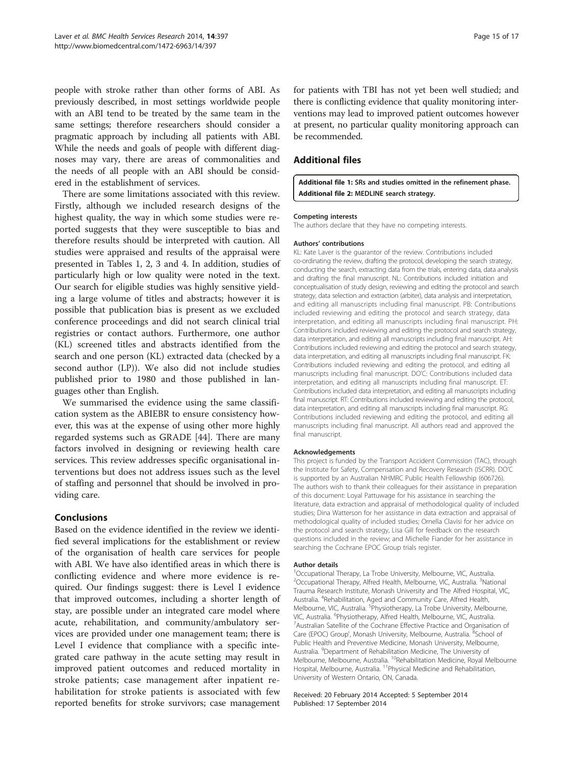<span id="page-14-0"></span>people with stroke rather than other forms of ABI. As previously described, in most settings worldwide people with an ABI tend to be treated by the same team in the same settings; therefore researchers should consider a pragmatic approach by including all patients with ABI. While the needs and goals of people with different diagnoses may vary, there are areas of commonalities and the needs of all people with an ABI should be considered in the establishment of services.

There are some limitations associated with this review. Firstly, although we included research designs of the highest quality, the way in which some studies were reported suggests that they were susceptible to bias and therefore results should be interpreted with caution. All studies were appraised and results of the appraisal were presented in Tables [1,](#page-5-0) [2](#page-6-0), [3](#page-7-0) and [4.](#page-11-0) In addition, studies of particularly high or low quality were noted in the text. Our search for eligible studies was highly sensitive yielding a large volume of titles and abstracts; however it is possible that publication bias is present as we excluded conference proceedings and did not search clinical trial registries or contact authors. Furthermore, one author (KL) screened titles and abstracts identified from the search and one person (KL) extracted data (checked by a second author (LP)). We also did not include studies published prior to 1980 and those published in languages other than English.

We summarised the evidence using the same classification system as the ABIEBR to ensure consistency however, this was at the expense of using other more highly regarded systems such as GRADE [\[44](#page-16-0)]. There are many factors involved in designing or reviewing health care services. This review addresses specific organisational interventions but does not address issues such as the level of staffing and personnel that should be involved in providing care.

## Conclusions

Based on the evidence identified in the review we identified several implications for the establishment or review of the organisation of health care services for people with ABI. We have also identified areas in which there is conflicting evidence and where more evidence is required. Our findings suggest: there is Level I evidence that improved outcomes, including a shorter length of stay, are possible under an integrated care model where acute, rehabilitation, and community/ambulatory services are provided under one management team; there is Level I evidence that compliance with a specific integrated care pathway in the acute setting may result in improved patient outcomes and reduced mortality in stroke patients; case management after inpatient rehabilitation for stroke patients is associated with few reported benefits for stroke survivors; case management

for patients with TBI has not yet been well studied; and there is conflicting evidence that quality monitoring interventions may lead to improved patient outcomes however at present, no particular quality monitoring approach can be recommended.

## Additional files

[Additional file 1:](http://www.biomedcentral.com/content/supplementary/1472-6963-14-397-S1.doc) SRs and studies omitted in the refinement phase. [Additional file 2:](http://www.biomedcentral.com/content/supplementary/1472-6963-14-397-S2.doc) MEDLINE search strategy.

#### Competing interests

The authors declare that they have no competing interests.

#### Authors' contributions

KL: Kate Laver is the guarantor of the review. Contributions included co-ordinating the review, drafting the protocol, developing the search strategy conducting the search, extracting data from the trials, entering data, data analysis and drafting the final manuscript. NL: Contributions included initiation and conceptualisation of study design, reviewing and editing the protocol and search strategy, data selection and extraction (arbiter), data analysis and interpretation, and editing all manuscripts including final manuscript. PB: Contributions included reviewing and editing the protocol and search strategy, data interpretation, and editing all manuscripts including final manuscript. PH: Contributions included reviewing and editing the protocol and search strategy, data interpretation, and editing all manuscripts including final manuscript. AH: Contributions included reviewing and editing the protocol and search strategy, data interpretation, and editing all manuscripts including final manuscript. FK: Contributions included reviewing and editing the protocol, and editing all manuscripts including final manuscript. DO'C: Contributions included data interpretation, and editing all manuscripts including final manuscript. ET: Contributions included data interpretation, and editing all manuscripts including final manuscript. RT: Contributions included reviewing and editing the protocol, data interpretation, and editing all manuscripts including final manuscript. RG: Contributions included reviewing and editing the protocol, and editing all manuscripts including final manuscript. All authors read and approved the final manuscript.

#### Acknowledgements

This project is funded by the Transport Accident Commission (TAC), through the Institute for Safety, Compensation and Recovery Research (ISCRR). DO'C is supported by an Australian NHMRC Public Health Fellowship (606726). The authors wish to thank their colleagues for their assistance in preparation of this document: Loyal Pattuwage for his assistance in searching the literature, data extraction and appraisal of methodological quality of included studies; Dina Watterson for her assistance in data extraction and appraisal of methodological quality of included studies; Ornella Clavisi for her advice on the protocol and search strategy, Lisa Gill for feedback on the research questions included in the review; and Michelle Fiander for her assistance in searching the Cochrane EPOC Group trials register.

#### Author details

1 Occupational Therapy, La Trobe University, Melbourne, VIC, Australia. <sup>2</sup>Occupational Therapy, Alfred Health, Melbourne, VIC, Australia. <sup>3</sup>National Trauma Research Institute, Monash University and The Alfred Hospital, VIC, Australia. <sup>4</sup>Rehabilitation, Aged and Community Care, Alfred Health, Melbourne, VIC, Australia. <sup>5</sup>Physiotherapy, La Trobe University, Melbourne VIC, Australia. <sup>6</sup> Physiotherapy, Alfred Health, Melbourne, VIC, Australia.<br><sup>7</sup> Australian Satellite of the Cochrane Effective Practice and Organisation Australian Satellite of the Cochrane Effective Practice and Organisation of Care (EPOC) Group', Monash University, Melbourne, Australia. <sup>8</sup>School of Public Health and Preventive Medicine, Monash University, Melbourne, Australia. <sup>9</sup>Department of Rehabilitation Medicine, The University of Melbourne, Melbourne, Australia. 10Rehabilitation Medicine, Royal Melbourne Hospital, Melbourne, Australia. 11Physical Medicine and Rehabilitation, University of Western Ontario, ON, Canada.

#### Received: 20 February 2014 Accepted: 5 September 2014 Published: 17 September 2014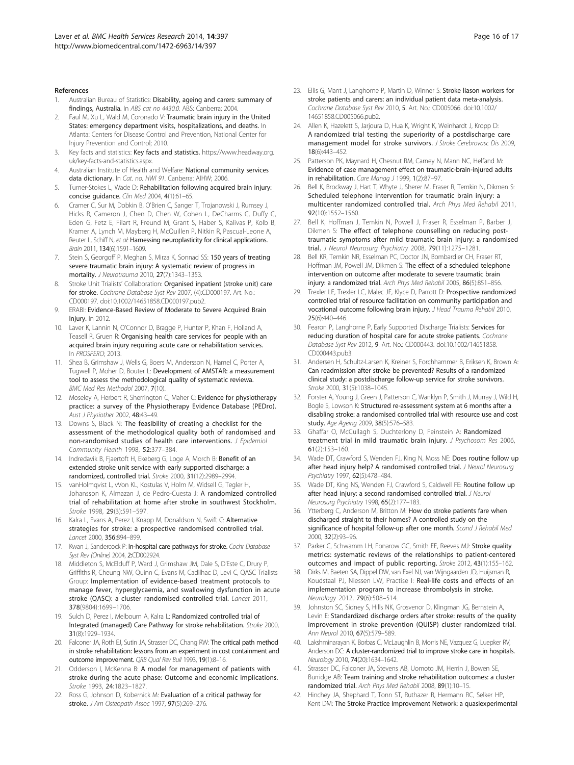- <span id="page-15-0"></span>Australian Bureau of Statistics: Disability, ageing and carers: summary of findings, Australia. In ABS cat no 4430.0. ABS: Canberra; 2004.
- Faul M, Xu L, Wald M, Coronado V: Traumatic brain injury in the United States: emergency department visits, hospitalizations, and deaths. In Atlanta: Centers for Disease Control and Prevention, National Center for Injury Prevention and Control; 2010.
- 3. Key facts and statistics: Key facts and statistics. [https://www.headway.org.](https://www.headway.org.uk/key-facts-and-statistics.aspx) [uk/key-facts-and-statistics.aspx.](https://www.headway.org.uk/key-facts-and-statistics.aspx)
- 4. Australian Institute of Health and Welfare: National community services data dictionary. In Cat. no. HWI 91. Canberra: AIHW; 2006.
- Turner-Stokes L, Wade D: Rehabilitation following acquired brain injury: concise guidance. Clin Med 2004, 4(1):61-65.
- 6. Cramer C, Sur M, Dobkin B, O'Brien C, Sanger T, Trojanowski J, Rumsey J, Hicks R, Cameron J, Chen D, Chen W, Cohen L, DeCharms C, Duffy C, Eden G, Fetz E, Filart R, Freund M, Grant S, Haber S, Kalivas P, Kolb B, Kramer A, Lynch M, Mayberg H, McQuillen P, Nitkin R, Pascual-Leone A, Reuter L, Schiff N, et al: Harnessing neuroplasticity for clinical applications. Brain 2011, 134(6):1591–1609.
- 7. Stein S, Georgoff P, Meghan S, Mirza K, Sonnad SS: 150 years of treating severe traumatic brain injury: A systematic review of progress in mortality. J Neurotrauma 2010, 27(7):1343–1353.
- Stroke Unit Trialists' Collaboration: Organised inpatient (stroke unit) care for stroke. Cochrane Database Syst Rev 2007, (4):CD000197. Art. No.: CD000197. doi:10.1002/14651858.CD000197.pub2.
- ERABI: Evidence-Based Review of Moderate to Severe Acquired Brain **Injury.** In 2012.
- 10. Laver K, Lannin N, O'Connor D, Bragge P, Hunter P, Khan F, Holland A, Teasell R, Gruen R: Organising health care services for people with an acquired brain injury requiring acute care or rehabilitation services. In PROSPERO; 2013.
- 11. Shea B, Grimshaw J, Wells G, Boers M, Andersson N, Hamel C, Porter A, Tugwell P, Moher D, Bouter L: Development of AMSTAR: a measurement tool to assess the methodological quality of systematic reviewa. BMC Med Res Methodol 2007, 7(10).
- 12. Moseley A, Herbert R, Sherrington C, Maher C: Evidence for physiotherapy practice: a survey of the Physiotherapy Evidence Database (PEDro). Aust J Physiother 2002, 48:43–49.
- 13. Downs S, Black N: The feasibility of creating a checklist for the assessment of the methodological quality both of randomised and non-randomised studies of health care interventions. *J Epidemiol* Community Health 1998, 52:377–384.
- 14. Indredavik B, Fjaertoft H, Ekeberg G, Loge A, Morch B: Benefit of an extended stroke unit service with early supported discharge: a randomized, controlled trial. Stroke 2000, 31(12):2989–2994.
- 15. vanHolmqvist L, vVon KL, Kostulas V, Holm M, Widsell G, Tegler H, Johansson K, Almazan J, de Pedro-Cuesta J: A randomized controlled trial of rehabilitation at home after stroke in southwest Stockholm. Stroke 1998, 29(3):591–597.
- 16. Kalra L, Evans A, Perez I, Knapp M, Donaldson N, Swift C: Alternative strategies for stroke: a prospective randomised controlled trial. Lancet 2000, 356:894–899.
- 17. Kwan J, Sandercock P: In-hospital care pathways for stroke. Cochr Database Syst Rev (Online) 2004, 2:CD002924.
- 18. Middleton S, McElduff P, Ward J, Grimshaw JM, Dale S, D'Este C, Drury P, Griffiths R, Cheung NW, Quinn C, Evans M, Cadilhac D, Levi C, QASC Trialists Group: Implementation of evidence-based treatment protocols to manage fever, hyperglycaemia, and swallowing dysfunction in acute stroke (QASC): a cluster randomised controlled trial. Lancet 2011, 378(9804):1699–1706.
- 19. Sulch D, Perez I, Melbourn A, Kalra L: Randomized controlled trial of Integrated (managed) Care Pathway for stroke rehabilitation. Stroke 2000, 31(8):1929–1934.
- 20. Falconer JA, Roth EJ, Sutin JA, Strasser DC, Chang RW: The critical path method in stroke rehabilitation: lessons from an experiment in cost containment and outcome improvement. QRB Qual Rev Bull 1993, 19(1):8–16.
- 21. Odderson I, McKenna B: A model for management of patients with stroke during the acute phase: Outcome and economic implications. Stroke 1993, 24:1823–1827.
- 22. Ross G, Johnson D, Kobernick M: Evaluation of a critical pathway for stroke. J Am Osteopath Assoc 1997, 97(5):269–276.
- 23. Ellis G, Mant J, Langhorne P, Martin D, Winner S: Stroke liason workers for stroke patients and carers: an individual patient data meta-analysis. Cochrane Database Syst Rev 2010, 5. Art. No.: CD005066. doi:10.1002/ 14651858.CD005066.pub2.
- 24. Allen K, Hazelett S, Jarjoura D, Hua K, Wright K, Weinhardt J, Kropp D: A randomized trial testing the superiority of a postdischarge care management model for stroke survivors. J Stroke Cerebrovasc Dis 2009, 18(6):443–452.
- 25. Patterson PK, Maynard H, Chesnut RM, Carney N, Mann NC, Helfand M: Evidence of case management effect on traumatic-brain-injured adults in rehabilitation. Care Manag J 1999, 1(2):87–97.
- 26. Bell K, Brockway J, Hart T, Whyte J, Sherer M, Fraser R, Temkin N, Dikmen S; Scheduled telephone intervention for traumatic brain injury: a multicenter randomized controlled trial. Arch Phys Med Rehabil 2011, 92(10):1552–1560.
- 27. Bell K, Hoffman J, Temkin N, Powell J, Fraser R, Esselman P, Barber J, Dikmen S: The effect of telephone counselling on reducing posttraumatic symptoms after mild traumatic brain injury: a randomised trial. J Neurol Neurosurg Psychiatry 2008, 79(11):1275–1281.
- 28. Bell KR, Temkin NR, Esselman PC, Doctor JN, Bombardier CH, Fraser RT, Hoffman JM, Powell JM, Dikmen S: The effect of a scheduled telephone intervention on outcome after moderate to severe traumatic brain injury: a randomized trial. Arch Phys Med Rehabil 2005, 86(5):851–856.
- 29. Trexler LE, Trexler LC, Malec JF, Klyce D, Parrott D: Prospective randomized controlled trial of resource facilitation on community participation and vocational outcome following brain injury. J Head Trauma Rehabil 2010, 25(6):440–446.
- 30. Fearon P, Langhorne P, Early Supported Discharge Trialists: Services for reducing duration of hospital care for acute stroke patients. Cochrane Database Syst Rev 2012, 9. Art. No.: CD000443. doi:10.1002/14651858. CD000443.pub3.
- 31. Andersen H, Schultz-Larsen K, Kreiner S, Forchhammer B, Eriksen K, Brown A: Can readmission after stroke be prevented? Results of a randomized clinical study: a postdischarge follow-up service for stroke survivors. Stroke 2000, 31(5):1038–1045.
- 32. Forster A, Young J, Green J, Patterson C, Wanklyn P, Smith J, Murray J, Wild H, Bogle S, Lowson K: Structured re-assessment system at 6 months after a disabling stroke: a randomised controlled trial with resource use and cost study. Age Ageing 2009, 38(5):576–583.
- 33. Ghaffar O, McCullagh S, Ouchterlony D, Feinstein A: Randomized treatment trial in mild traumatic brain injury. J Psychosom Res 2006, 61(2):153–160.
- Wade DT, Crawford S, Wenden FJ, King N, Moss NE: Does routine follow up after head injury help? A randomised controlled trial. J Neurol Neurosurg Psychiatry 1997, 62(5):478–484.
- 35. Wade DT, King NS, Wenden FJ, Crawford S, Caldwell FE: Routine follow up after head injury: a second randomised controlled trial. J Neurol Neurosurg Psychiatry 1998, 65(2):177–183.
- 36. Ytterberg C, Anderson M, Britton M: How do stroke patients fare when discharged straight to their homes? A controlled study on the significance of hospital follow-up after one month. Scand J Rehabil Med 2000, 32(2):93–96.
- 37. Parker C, Schwamm LH, Fonarow GC, Smith EE, Reeves MJ: Stroke quality metrics: systematic reviews of the relationships to patient-centered outcomes and impact of public reporting. Stroke 2012, 43(1):155–162.
- 38. Dirks M, Baeten SA, Dippel DW, van Exel NJ, van Wijngaarden JD, Huijsman R, Koudstaal PJ, Niessen LW, Practise I: Real-life costs and effects of an implementation program to increase thrombolysis in stroke. Neurology 2012, 79(6):508–514.
- 39. Johnston SC, Sidney S, Hills NK, Grosvenor D, Klingman JG, Bernstein A, Levin E: Standardized discharge orders after stroke: results of the quality improvement in stroke prevention (QUISP) cluster randomized trial. Ann Neurol 2010, 67(5):579–589.
- 40. Lakshminarayan K, Borbas C, McLaughlin B, Morris NE, Vazquez G, Luepker RV, Anderson DC: A cluster-randomized trial to improve stroke care in hospitals. Neurology 2010, 74(20):1634–1642.
- 41. Strasser DC, Falconer JA, Stevens AB, Uomoto JM, Herrin J, Bowen SE, Burridge AB: Team training and stroke rehabilitation outcomes: a cluster randomized trial. Arch Phys Med Rehabil 2008, 89(1):10–15.
- 42. Hinchey JA, Shephard T, Tonn ST, Ruthazer R, Hermann RC, Selker HP, Kent DM: The Stroke Practice Improvement Network: a quasiexperimental